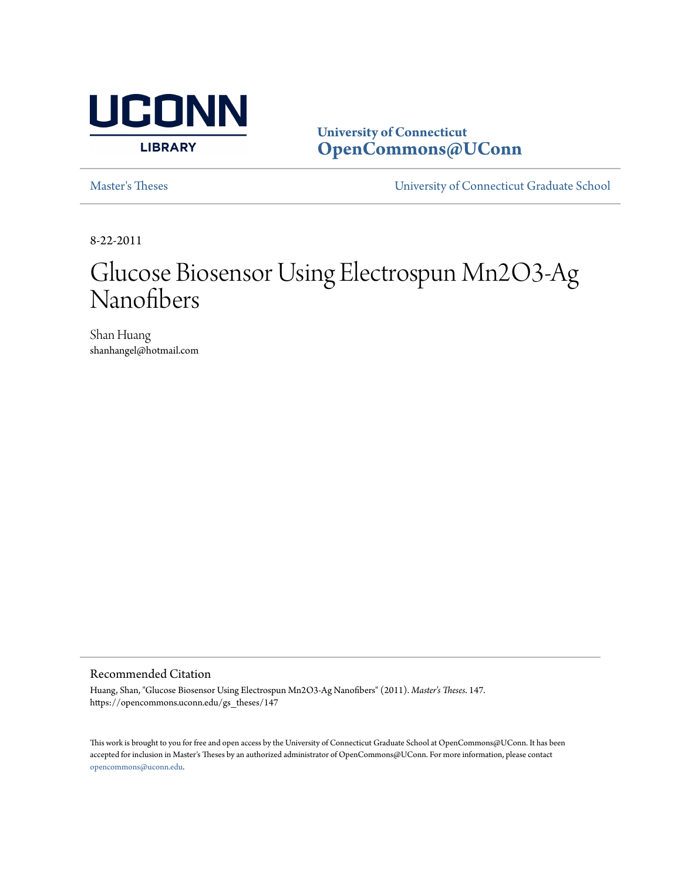

**University of Connecticut [OpenCommons@UConn](https://opencommons.uconn.edu)**

[Master's Theses](https://opencommons.uconn.edu/gs_theses) [University of Connecticut Graduate School](https://opencommons.uconn.edu/gs)

8-22-2011

# Glucose Biosensor Using Electrospun Mn2O3-Ag Nanofibers

Shan Huang shanhangel@hotmail.com

Recommended Citation

Huang, Shan, "Glucose Biosensor Using Electrospun Mn2O3-Ag Nanofibers" (2011). *Master's Theses*. 147. https://opencommons.uconn.edu/gs\_theses/147

This work is brought to you for free and open access by the University of Connecticut Graduate School at OpenCommons@UConn. It has been accepted for inclusion in Master's Theses by an authorized administrator of OpenCommons@UConn. For more information, please contact [opencommons@uconn.edu](mailto:opencommons@uconn.edu).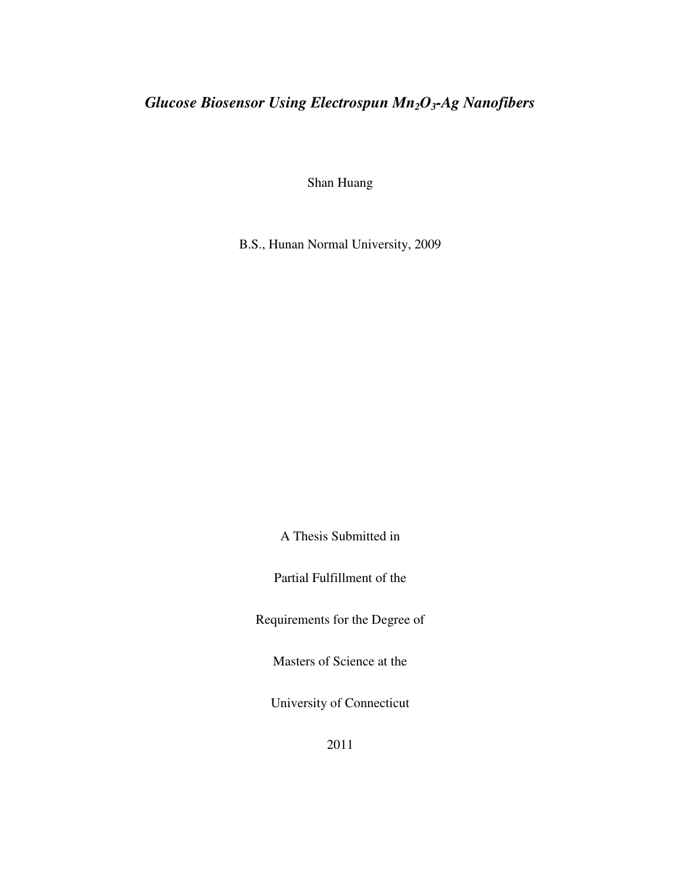# *Glucose Biosensor Using Electrospun Mn2O3-Ag Nanofibers*

Shan Huang

B.S., Hunan Normal University, 2009

A Thesis Submitted in

Partial Fulfillment of the

Requirements for the Degree of

Masters of Science at the

University of Connecticut

2011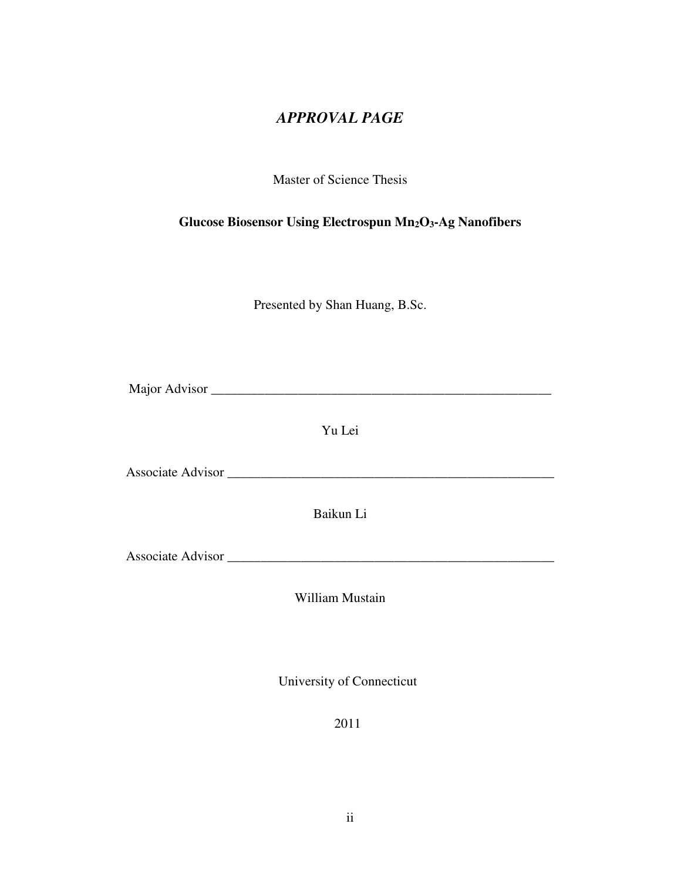# *APPROVAL PAGE*

Master of Science Thesis

**Glucose Biosensor Using Electrospun Mn2O3-Ag Nanofibers** 

Presented by Shan Huang, B.Sc.

Major Advisor \_\_\_\_\_\_\_\_\_\_\_\_\_\_\_\_\_\_\_\_\_\_\_\_\_\_\_\_\_\_\_\_\_\_\_\_\_\_\_\_\_\_\_\_\_\_\_\_\_\_\_

Yu Lei

Associate Advisor \_\_\_\_\_\_\_\_\_\_\_\_\_\_\_\_\_\_\_\_\_\_\_\_\_\_\_\_\_\_\_\_\_\_\_\_\_\_\_\_\_\_\_\_\_\_\_\_\_

Baikun Li

Associate Advisor \_\_\_\_\_\_\_\_\_\_\_\_\_\_\_\_\_\_\_\_\_\_\_\_\_\_\_\_\_\_\_\_\_\_\_\_\_\_\_\_\_\_\_\_\_\_\_\_\_

William Mustain

University of Connecticut

2011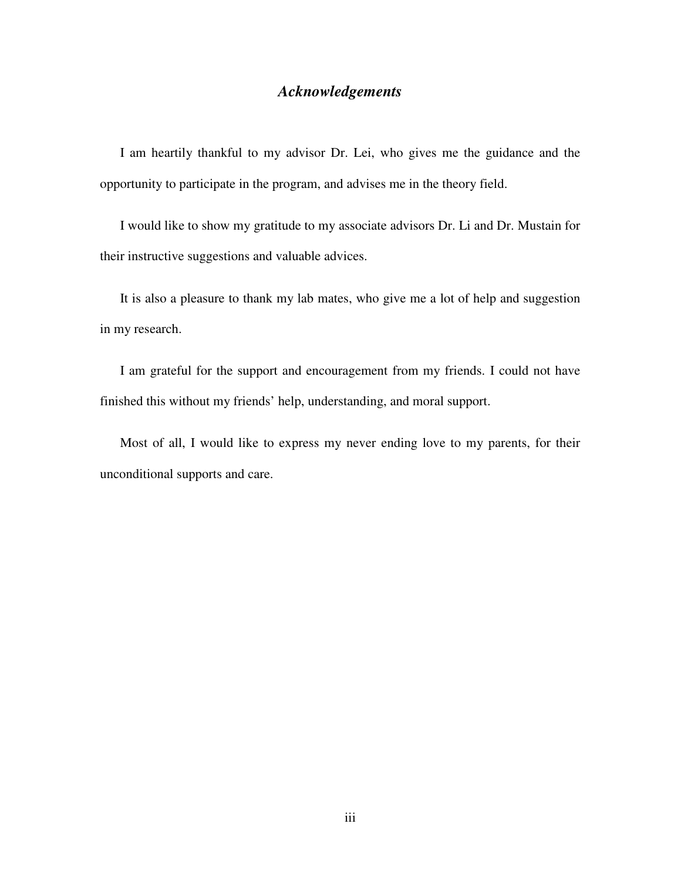## *Acknowledgements*

I am heartily thankful to my advisor Dr. Lei, who gives me the guidance and the opportunity to participate in the program, and advises me in the theory field.

I would like to show my gratitude to my associate advisors Dr. Li and Dr. Mustain for their instructive suggestions and valuable advices.

It is also a pleasure to thank my lab mates, who give me a lot of help and suggestion in my research.

I am grateful for the support and encouragement from my friends. I could not have finished this without my friends' help, understanding, and moral support.

Most of all, I would like to express my never ending love to my parents, for their unconditional supports and care.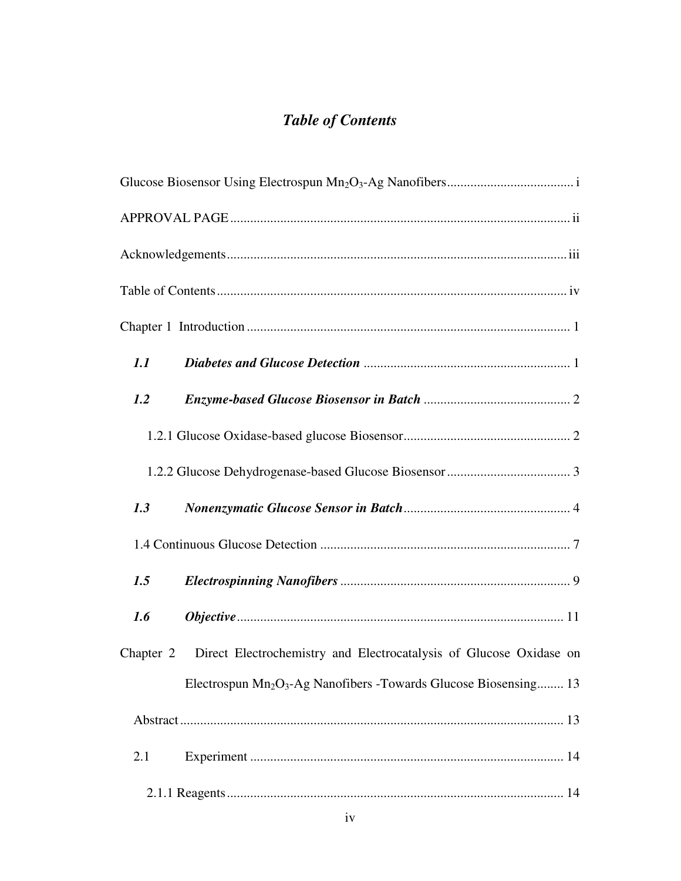# *Table of Contents*

| 1.1       |                                                                                          |  |  |  |  |
|-----------|------------------------------------------------------------------------------------------|--|--|--|--|
| 1.2       |                                                                                          |  |  |  |  |
|           |                                                                                          |  |  |  |  |
|           |                                                                                          |  |  |  |  |
| 1.3       |                                                                                          |  |  |  |  |
|           |                                                                                          |  |  |  |  |
| 1.5       |                                                                                          |  |  |  |  |
| 1.6       |                                                                                          |  |  |  |  |
| Chapter 2 | Direct Electrochemistry and Electrocatalysis of Glucose Oxidase on                       |  |  |  |  |
|           | Electrospun Mn <sub>2</sub> O <sub>3</sub> -Ag Nanofibers -Towards Glucose Biosensing 13 |  |  |  |  |
|           |                                                                                          |  |  |  |  |
| 2.1       |                                                                                          |  |  |  |  |
|           |                                                                                          |  |  |  |  |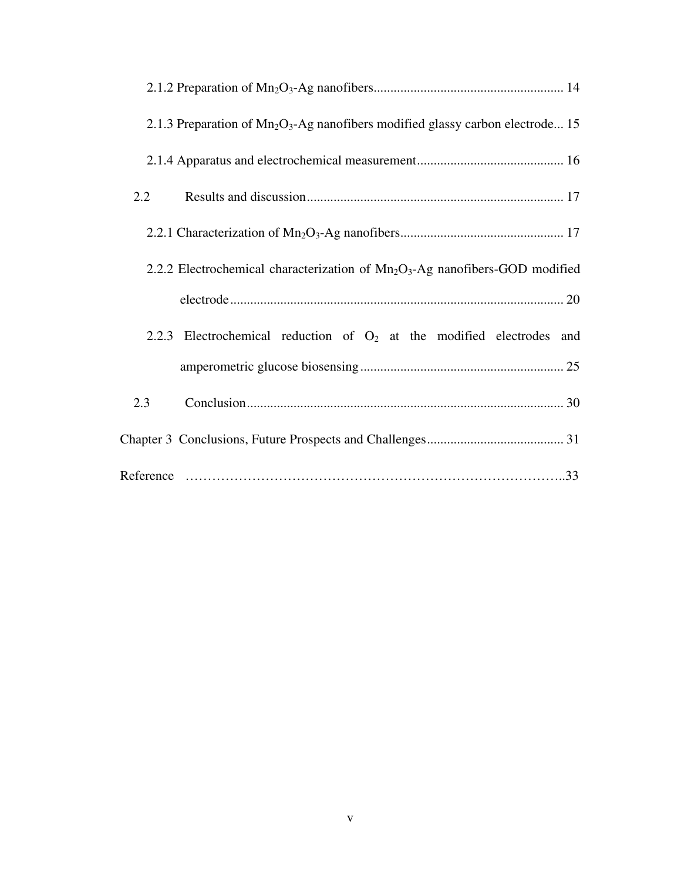| 2.1.3 Preparation of $Mn_2O_3$ -Ag nanofibers modified glassy carbon electrode 15 |
|-----------------------------------------------------------------------------------|
|                                                                                   |
| 2.2                                                                               |
|                                                                                   |
| 2.2.2 Electrochemical characterization of $Mn_2O_3$ -Ag nanofibers-GOD modified   |
|                                                                                   |
| 2.2.3 Electrochemical reduction of $O_2$ at the modified electrodes and           |
|                                                                                   |
| 2.3                                                                               |
|                                                                                   |
|                                                                                   |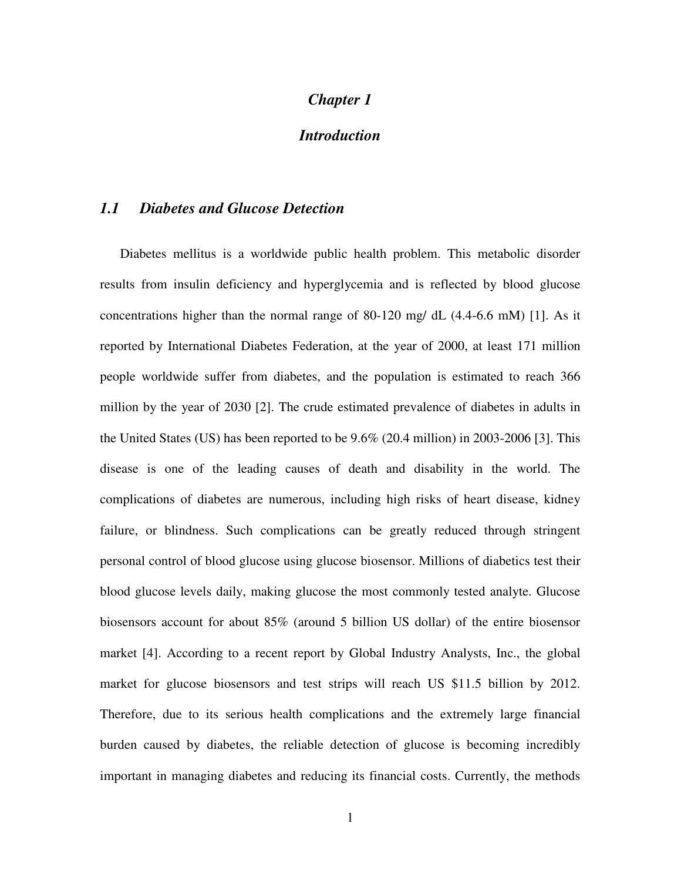# *Chapter 1*

# *Introduction*

#### *1.1 Diabetes and Glucose Detection*

Diabetes mellitus is a worldwide public health problem. This metabolic disorder results from insulin deficiency and hyperglycemia and is reflected by blood glucose concentrations higher than the normal range of 80-120 mg/ dL (4.4-6.6 mM) [1]. As it reported by International Diabetes Federation, at the year of 2000, at least 171 million people worldwide suffer from diabetes, and the population is estimated to reach 366 million by the year of 2030 [2]. The crude estimated prevalence of diabetes in adults in the United States (US) has been reported to be 9.6% (20.4 million) in 2003-2006 [3]. This disease is one of the leading causes of death and disability in the world. The complications of diabetes are numerous, including high risks of heart disease, kidney failure, or blindness. Such complications can be greatly reduced through stringent personal control of blood glucose using glucose biosensor. Millions of diabetics test their blood glucose levels daily, making glucose the most commonly tested analyte. Glucose biosensors account for about 85% (around 5 billion US dollar) of the entire biosensor market [4]. According to a recent report by Global Industry Analysts, Inc., the global market for glucose biosensors and test strips will reach US \$11.5 billion by 2012. Therefore, due to its serious health complications and the extremely large financial burden caused by diabetes, the reliable detection of glucose is becoming incredibly important in managing diabetes and reducing its financial costs. Currently, the methods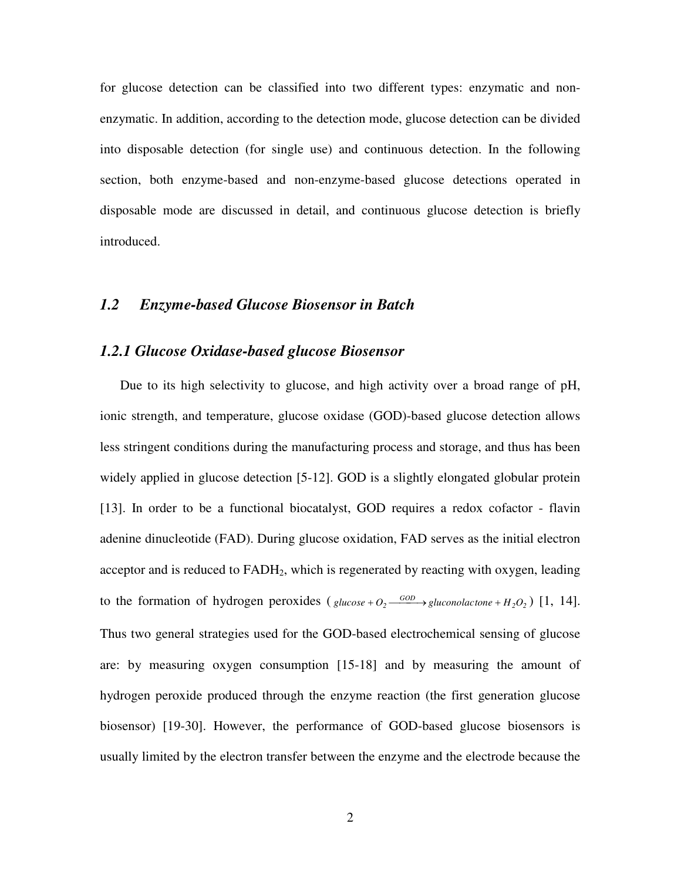for glucose detection can be classified into two different types: enzymatic and nonenzymatic. In addition, according to the detection mode, glucose detection can be divided into disposable detection (for single use) and continuous detection. In the following section, both enzyme-based and non-enzyme-based glucose detections operated in disposable mode are discussed in detail, and continuous glucose detection is briefly introduced.

#### *1.2 Enzyme-based Glucose Biosensor in Batch*

#### *1.2.1 Glucose Oxidase-based glucose Biosensor*

Due to its high selectivity to glucose, and high activity over a broad range of pH, ionic strength, and temperature, glucose oxidase (GOD)-based glucose detection allows less stringent conditions during the manufacturing process and storage, and thus has been widely applied in glucose detection [5-12]. GOD is a slightly elongated globular protein [13]. In order to be a functional biocatalyst, GOD requires a redox cofactor - flavin adenine dinucleotide (FAD). During glucose oxidation, FAD serves as the initial electron acceptor and is reduced to  $FADH<sub>2</sub>$ , which is regenerated by reacting with oxygen, leading to the formation of hydrogen peroxides ( $glucose + O_2 \xrightarrow{GOD} gluconolactone + H_2O_2$ ) [1, 14]. Thus two general strategies used for the GOD-based electrochemical sensing of glucose are: by measuring oxygen consumption [15-18] and by measuring the amount of hydrogen peroxide produced through the enzyme reaction (the first generation glucose biosensor) [19-30]. However, the performance of GOD-based glucose biosensors is usually limited by the electron transfer between the enzyme and the electrode because the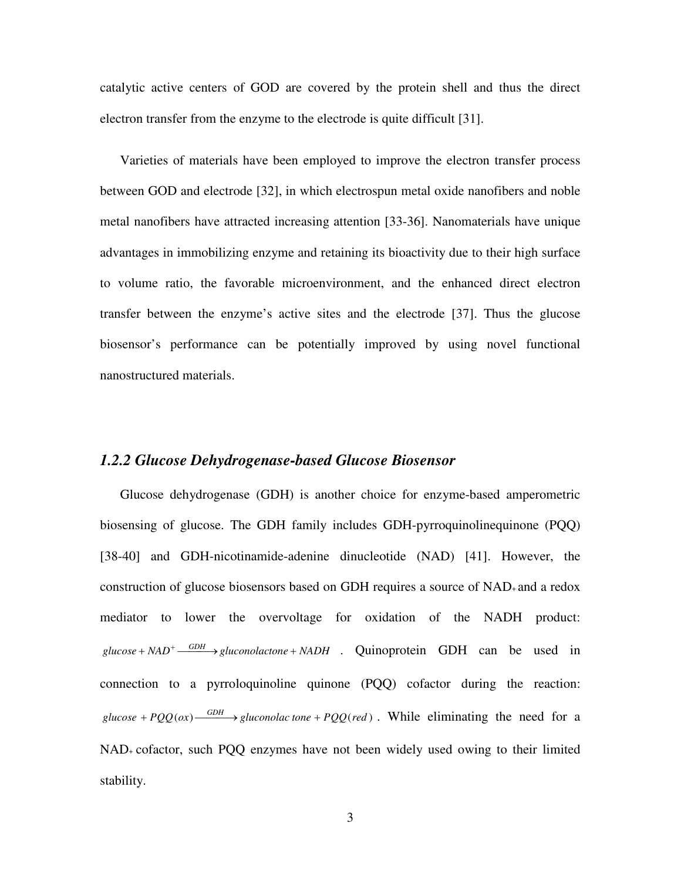catalytic active centers of GOD are covered by the protein shell and thus the direct electron transfer from the enzyme to the electrode is quite difficult [31].

Varieties of materials have been employed to improve the electron transfer process between GOD and electrode [32], in which electrospun metal oxide nanofibers and noble metal nanofibers have attracted increasing attention [33-36]. Nanomaterials have unique advantages in immobilizing enzyme and retaining its bioactivity due to their high surface to volume ratio, the favorable microenvironment, and the enhanced direct electron transfer between the enzyme's active sites and the electrode [37]. Thus the glucose biosensor's performance can be potentially improved by using novel functional nanostructured materials.

#### *1.2.2 Glucose Dehydrogenase-based Glucose Biosensor*

Glucose dehydrogenase (GDH) is another choice for enzyme-based amperometric biosensing of glucose. The GDH family includes GDH-pyrroquinolinequinone (PQQ) [38-40] and GDH-nicotinamide-adenine dinucleotide (NAD) [41]. However, the construction of glucose biosensors based on GDH requires a source of NAD+ and a redox mediator to lower the overvoltage for oxidation of the NADH product:  $glucose + NAD^+ \xrightarrow{GDH} gluconolactone + NADH$  . Quinoprotein GDH can be used in connection to a pyrroloquinoline quinone (PQQ) cofactor during the reaction:  $glucose + PQQ(ox) \xrightarrow{GDH} gluconolac tone + PQQ(red)$ . While eliminating the need for a NAD+ cofactor, such PQQ enzymes have not been widely used owing to their limited stability.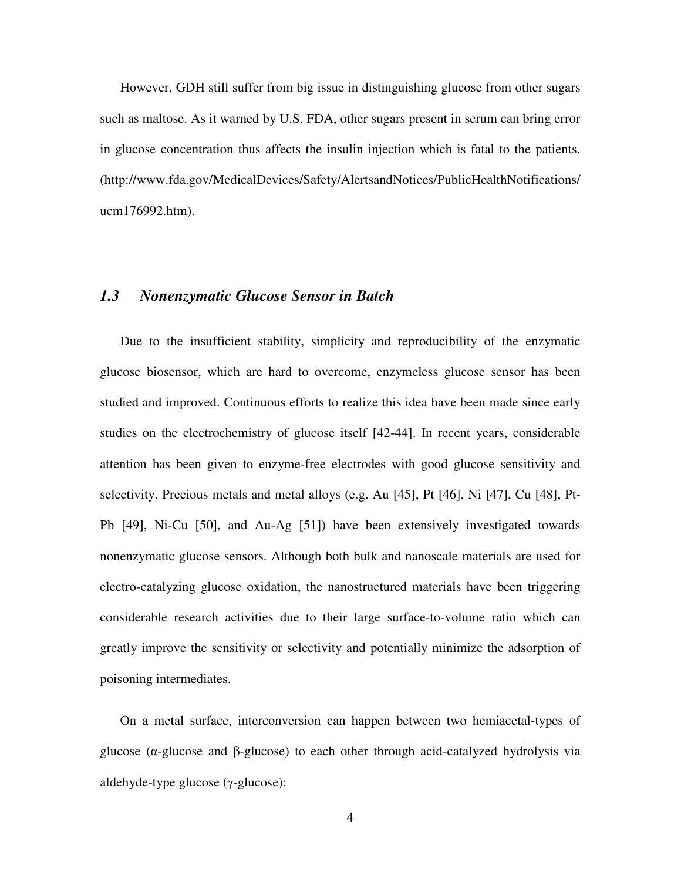However, GDH still suffer from big issue in distinguishing glucose from other sugars such as maltose. As it warned by U.S. FDA, other sugars present in serum can bring error in glucose concentration thus affects the insulin injection which is fatal to the patients. (http://www.fda.gov/MedicalDevices/Safety/AlertsandNotices/PublicHealthNotifications/ ucm176992.htm).

### *1.3 Nonenzymatic Glucose Sensor in Batch*

Due to the insufficient stability, simplicity and reproducibility of the enzymatic glucose biosensor, which are hard to overcome, enzymeless glucose sensor has been studied and improved. Continuous efforts to realize this idea have been made since early studies on the electrochemistry of glucose itself [42-44]. In recent years, considerable attention has been given to enzyme-free electrodes with good glucose sensitivity and selectivity. Precious metals and metal alloys (e.g. Au [45], Pt [46], Ni [47], Cu [48], Pt-Pb [49], Ni-Cu [50], and Au-Ag [51]) have been extensively investigated towards nonenzymatic glucose sensors. Although both bulk and nanoscale materials are used for electro-catalyzing glucose oxidation, the nanostructured materials have been triggering considerable research activities due to their large surface-to-volume ratio which can greatly improve the sensitivity or selectivity and potentially minimize the adsorption of poisoning intermediates.

On a metal surface, interconversion can happen between two hemiacetal-types of glucose (α-glucose and β-glucose) to each other through acid-catalyzed hydrolysis via aldehyde-type glucose (γ-glucose):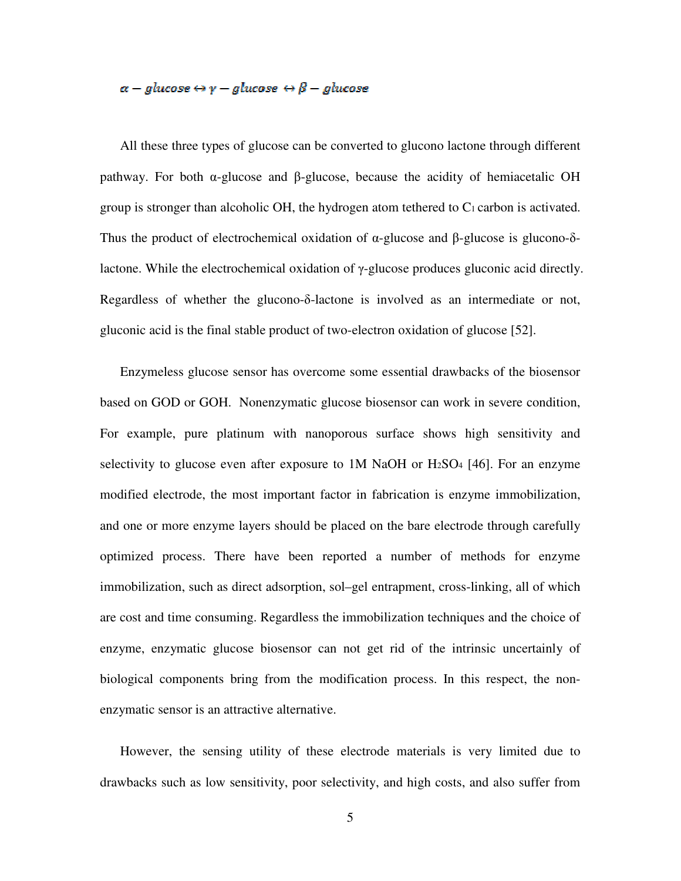# $\alpha$  – glucose  $\Leftrightarrow$   $\gamma$  – glucose  $\Leftrightarrow$   $\beta$  – glucose

All these three types of glucose can be converted to glucono lactone through different pathway. For both α-glucose and β-glucose, because the acidity of hemiacetalic OH group is stronger than alcoholic OH, the hydrogen atom tethered to C1 carbon is activated. Thus the product of electrochemical oxidation of  $\alpha$ -glucose and β-glucose is glucono-δlactone. While the electrochemical oxidation of γ-glucose produces gluconic acid directly. Regardless of whether the glucono-δ-lactone is involved as an intermediate or not, gluconic acid is the final stable product of two-electron oxidation of glucose [52].

Enzymeless glucose sensor has overcome some essential drawbacks of the biosensor based on GOD or GOH. Nonenzymatic glucose biosensor can work in severe condition, For example, pure platinum with nanoporous surface shows high sensitivity and selectivity to glucose even after exposure to 1M NaOH or H<sub>2</sub>SO<sub>4</sub> [46]. For an enzyme modified electrode, the most important factor in fabrication is enzyme immobilization, and one or more enzyme layers should be placed on the bare electrode through carefully optimized process. There have been reported a number of methods for enzyme immobilization, such as direct adsorption, sol–gel entrapment, cross-linking, all of which are cost and time consuming. Regardless the immobilization techniques and the choice of enzyme, enzymatic glucose biosensor can not get rid of the intrinsic uncertainly of biological components bring from the modification process. In this respect, the nonenzymatic sensor is an attractive alternative.

However, the sensing utility of these electrode materials is very limited due to drawbacks such as low sensitivity, poor selectivity, and high costs, and also suffer from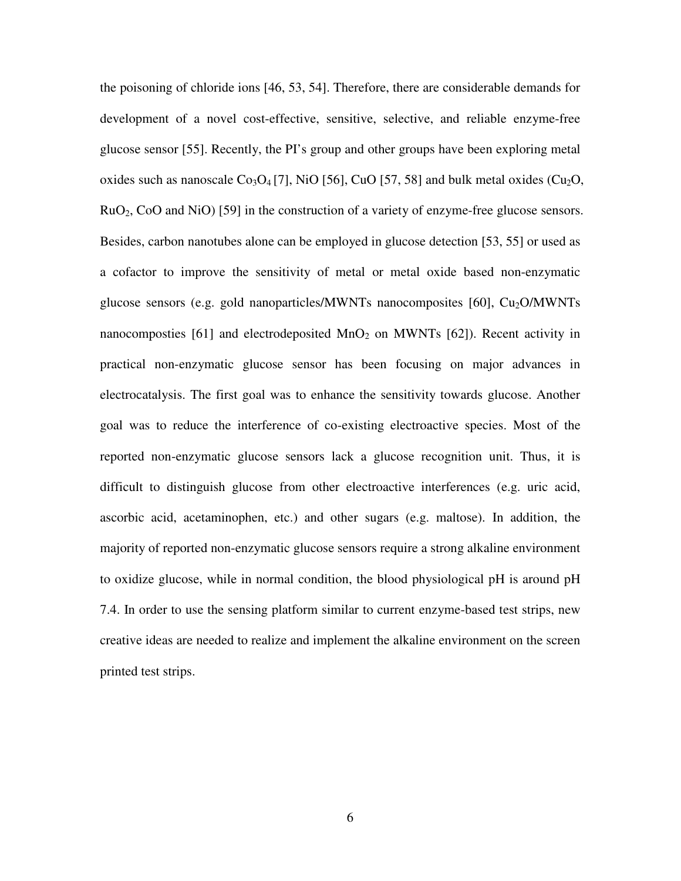the poisoning of chloride ions [46, 53, 54]. Therefore, there are considerable demands for development of a novel cost-effective, sensitive, selective, and reliable enzyme-free glucose sensor [55]. Recently, the PI's group and other groups have been exploring metal oxides such as nanoscale  $Co<sub>3</sub>O<sub>4</sub>$  [7], NiO [56], CuO [57, 58] and bulk metal oxides (Cu<sub>2</sub>O, RuO2, CoO and NiO) [59] in the construction of a variety of enzyme-free glucose sensors. Besides, carbon nanotubes alone can be employed in glucose detection [53, 55] or used as a cofactor to improve the sensitivity of metal or metal oxide based non-enzymatic glucose sensors (e.g. gold nanoparticles/MWNTs nanocomposites  $[60]$ , Cu<sub>2</sub>O/MWNTs nanocomposties [61] and electrodeposited  $MnO<sub>2</sub>$  on MWNTs [62]). Recent activity in practical non-enzymatic glucose sensor has been focusing on major advances in electrocatalysis. The first goal was to enhance the sensitivity towards glucose. Another goal was to reduce the interference of co-existing electroactive species. Most of the reported non-enzymatic glucose sensors lack a glucose recognition unit. Thus, it is difficult to distinguish glucose from other electroactive interferences (e.g. uric acid, ascorbic acid, acetaminophen, etc.) and other sugars (e.g. maltose). In addition, the majority of reported non-enzymatic glucose sensors require a strong alkaline environment to oxidize glucose, while in normal condition, the blood physiological pH is around pH 7.4. In order to use the sensing platform similar to current enzyme-based test strips, new creative ideas are needed to realize and implement the alkaline environment on the screen printed test strips.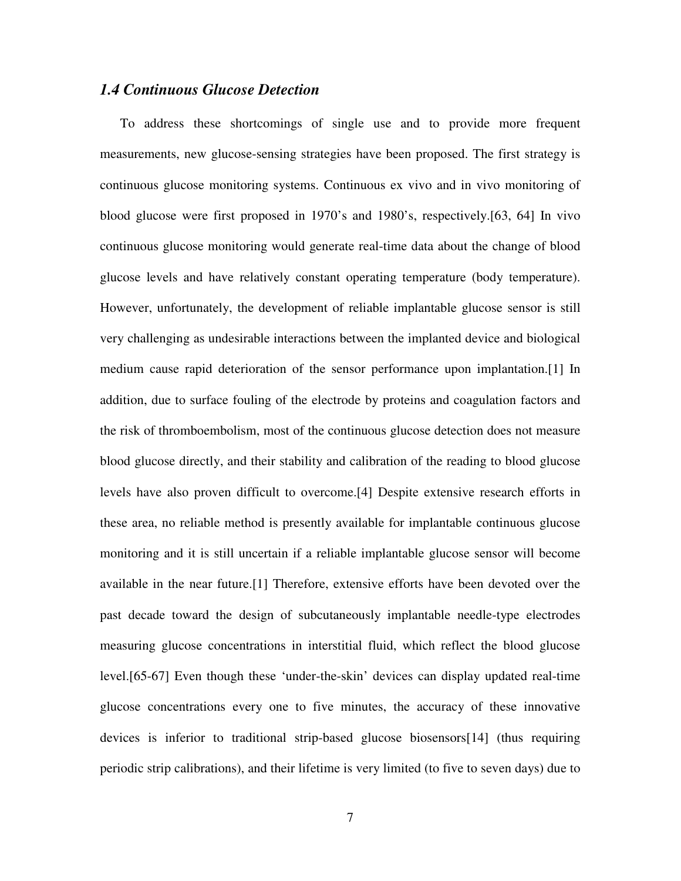#### *1.4 Continuous Glucose Detection*

To address these shortcomings of single use and to provide more frequent measurements, new glucose-sensing strategies have been proposed. The first strategy is continuous glucose monitoring systems. Continuous ex vivo and in vivo monitoring of blood glucose were first proposed in 1970's and 1980's, respectively.[63, 64] In vivo continuous glucose monitoring would generate real-time data about the change of blood glucose levels and have relatively constant operating temperature (body temperature). However, unfortunately, the development of reliable implantable glucose sensor is still very challenging as undesirable interactions between the implanted device and biological medium cause rapid deterioration of the sensor performance upon implantation.[1] In addition, due to surface fouling of the electrode by proteins and coagulation factors and the risk of thromboembolism, most of the continuous glucose detection does not measure blood glucose directly, and their stability and calibration of the reading to blood glucose levels have also proven difficult to overcome.[4] Despite extensive research efforts in these area, no reliable method is presently available for implantable continuous glucose monitoring and it is still uncertain if a reliable implantable glucose sensor will become available in the near future.[1] Therefore, extensive efforts have been devoted over the past decade toward the design of subcutaneously implantable needle-type electrodes measuring glucose concentrations in interstitial fluid, which reflect the blood glucose level.[65-67] Even though these 'under-the-skin' devices can display updated real-time glucose concentrations every one to five minutes, the accuracy of these innovative devices is inferior to traditional strip-based glucose biosensors[14] (thus requiring periodic strip calibrations), and their lifetime is very limited (to five to seven days) due to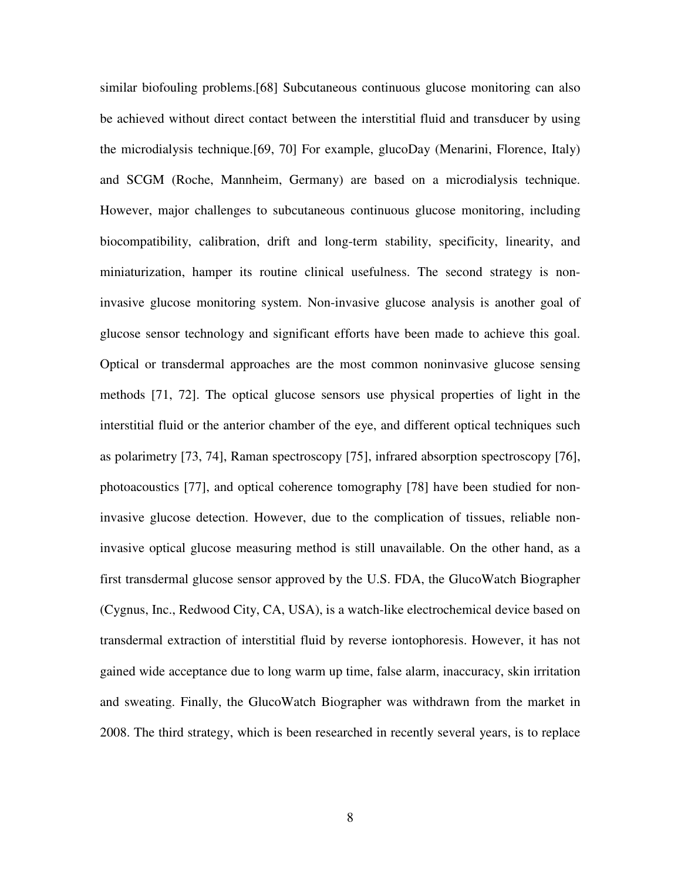similar biofouling problems.[68] Subcutaneous continuous glucose monitoring can also be achieved without direct contact between the interstitial fluid and transducer by using the microdialysis technique.[69, 70] For example, glucoDay (Menarini, Florence, Italy) and SCGM (Roche, Mannheim, Germany) are based on a microdialysis technique. However, major challenges to subcutaneous continuous glucose monitoring, including biocompatibility, calibration, drift and long-term stability, specificity, linearity, and miniaturization, hamper its routine clinical usefulness. The second strategy is noninvasive glucose monitoring system. Non-invasive glucose analysis is another goal of glucose sensor technology and significant efforts have been made to achieve this goal. Optical or transdermal approaches are the most common noninvasive glucose sensing methods [71, 72]. The optical glucose sensors use physical properties of light in the interstitial fluid or the anterior chamber of the eye, and different optical techniques such as polarimetry [73, 74], Raman spectroscopy [75], infrared absorption spectroscopy [76], photoacoustics [77], and optical coherence tomography [78] have been studied for noninvasive glucose detection. However, due to the complication of tissues, reliable noninvasive optical glucose measuring method is still unavailable. On the other hand, as a first transdermal glucose sensor approved by the U.S. FDA, the GlucoWatch Biographer (Cygnus, Inc., Redwood City, CA, USA), is a watch-like electrochemical device based on transdermal extraction of interstitial fluid by reverse iontophoresis. However, it has not gained wide acceptance due to long warm up time, false alarm, inaccuracy, skin irritation and sweating. Finally, the GlucoWatch Biographer was withdrawn from the market in 2008. The third strategy, which is been researched in recently several years, is to replace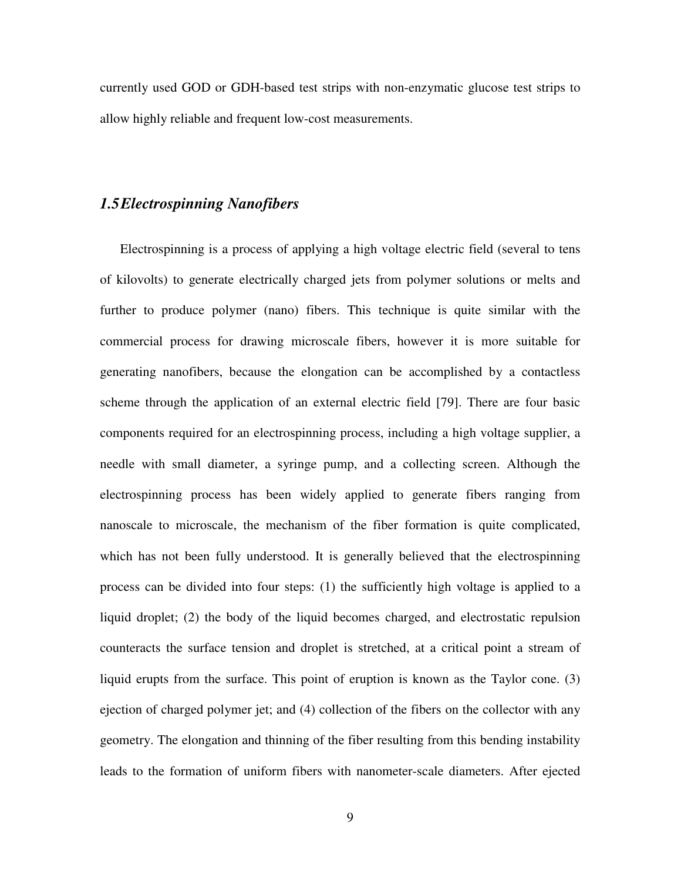currently used GOD or GDH-based test strips with non-enzymatic glucose test strips to allow highly reliable and frequent low-cost measurements.

## *1.5Electrospinning Nanofibers*

Electrospinning is a process of applying a high voltage electric field (several to tens of kilovolts) to generate electrically charged jets from polymer solutions or melts and further to produce polymer (nano) fibers. This technique is quite similar with the commercial process for drawing microscale fibers, however it is more suitable for generating nanofibers, because the elongation can be accomplished by a contactless scheme through the application of an external electric field [79]. There are four basic components required for an electrospinning process, including a high voltage supplier, a needle with small diameter, a syringe pump, and a collecting screen. Although the electrospinning process has been widely applied to generate fibers ranging from nanoscale to microscale, the mechanism of the fiber formation is quite complicated, which has not been fully understood. It is generally believed that the electrospinning process can be divided into four steps: (1) the sufficiently high voltage is applied to a liquid droplet; (2) the body of the liquid becomes charged, and electrostatic repulsion counteracts the surface tension and droplet is stretched, at a critical point a stream of liquid erupts from the surface. This point of eruption is known as the Taylor cone. (3) ejection of charged polymer jet; and (4) collection of the fibers on the collector with any geometry. The elongation and thinning of the fiber resulting from this bending instability leads to the formation of uniform fibers with nanometer-scale diameters. After ejected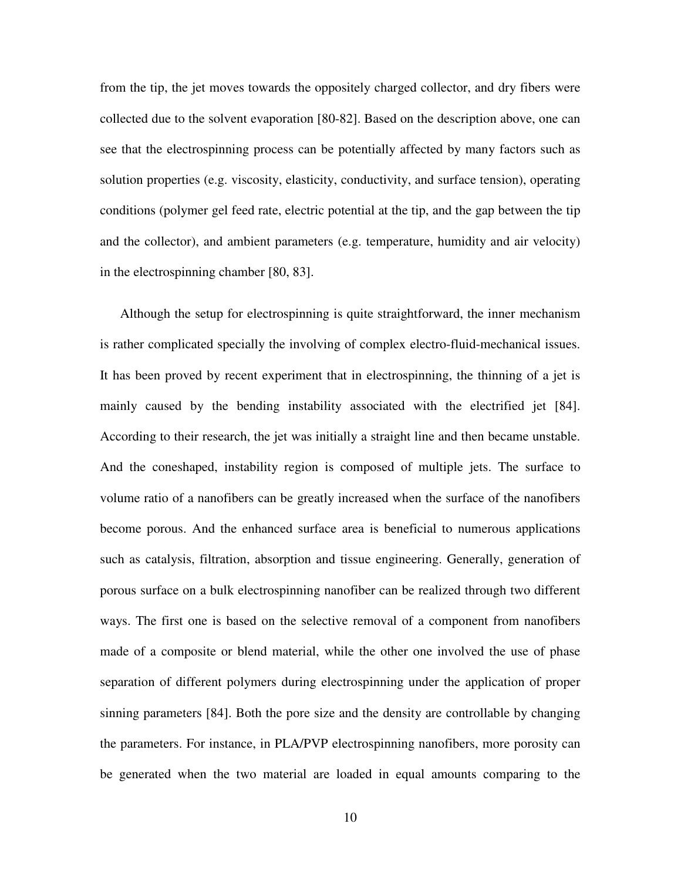from the tip, the jet moves towards the oppositely charged collector, and dry fibers were collected due to the solvent evaporation [80-82]. Based on the description above, one can see that the electrospinning process can be potentially affected by many factors such as solution properties (e.g. viscosity, elasticity, conductivity, and surface tension), operating conditions (polymer gel feed rate, electric potential at the tip, and the gap between the tip and the collector), and ambient parameters (e.g. temperature, humidity and air velocity) in the electrospinning chamber [80, 83].

Although the setup for electrospinning is quite straightforward, the inner mechanism is rather complicated specially the involving of complex electro-fluid-mechanical issues. It has been proved by recent experiment that in electrospinning, the thinning of a jet is mainly caused by the bending instability associated with the electrified jet [84]. According to their research, the jet was initially a straight line and then became unstable. And the coneshaped, instability region is composed of multiple jets. The surface to volume ratio of a nanofibers can be greatly increased when the surface of the nanofibers become porous. And the enhanced surface area is beneficial to numerous applications such as catalysis, filtration, absorption and tissue engineering. Generally, generation of porous surface on a bulk electrospinning nanofiber can be realized through two different ways. The first one is based on the selective removal of a component from nanofibers made of a composite or blend material, while the other one involved the use of phase separation of different polymers during electrospinning under the application of proper sinning parameters [84]. Both the pore size and the density are controllable by changing the parameters. For instance, in PLA/PVP electrospinning nanofibers, more porosity can be generated when the two material are loaded in equal amounts comparing to the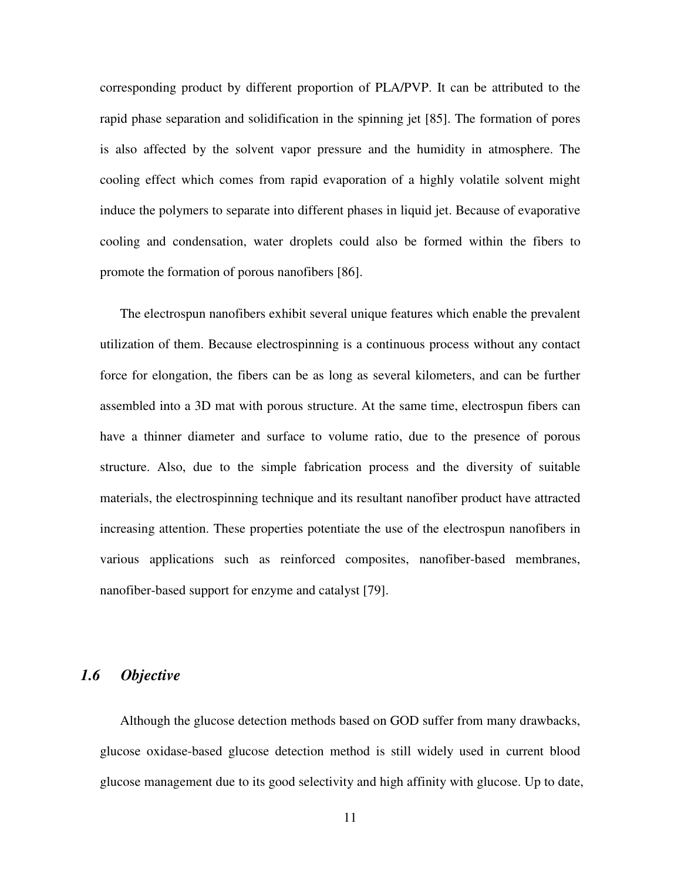corresponding product by different proportion of PLA/PVP. It can be attributed to the rapid phase separation and solidification in the spinning jet [85]. The formation of pores is also affected by the solvent vapor pressure and the humidity in atmosphere. The cooling effect which comes from rapid evaporation of a highly volatile solvent might induce the polymers to separate into different phases in liquid jet. Because of evaporative cooling and condensation, water droplets could also be formed within the fibers to promote the formation of porous nanofibers [86].

The electrospun nanofibers exhibit several unique features which enable the prevalent utilization of them. Because electrospinning is a continuous process without any contact force for elongation, the fibers can be as long as several kilometers, and can be further assembled into a 3D mat with porous structure. At the same time, electrospun fibers can have a thinner diameter and surface to volume ratio, due to the presence of porous structure. Also, due to the simple fabrication process and the diversity of suitable materials, the electrospinning technique and its resultant nanofiber product have attracted increasing attention. These properties potentiate the use of the electrospun nanofibers in various applications such as reinforced composites, nanofiber-based membranes, nanofiber-based support for enzyme and catalyst [79].

# *1.6 Objective*

Although the glucose detection methods based on GOD suffer from many drawbacks, glucose oxidase-based glucose detection method is still widely used in current blood glucose management due to its good selectivity and high affinity with glucose. Up to date,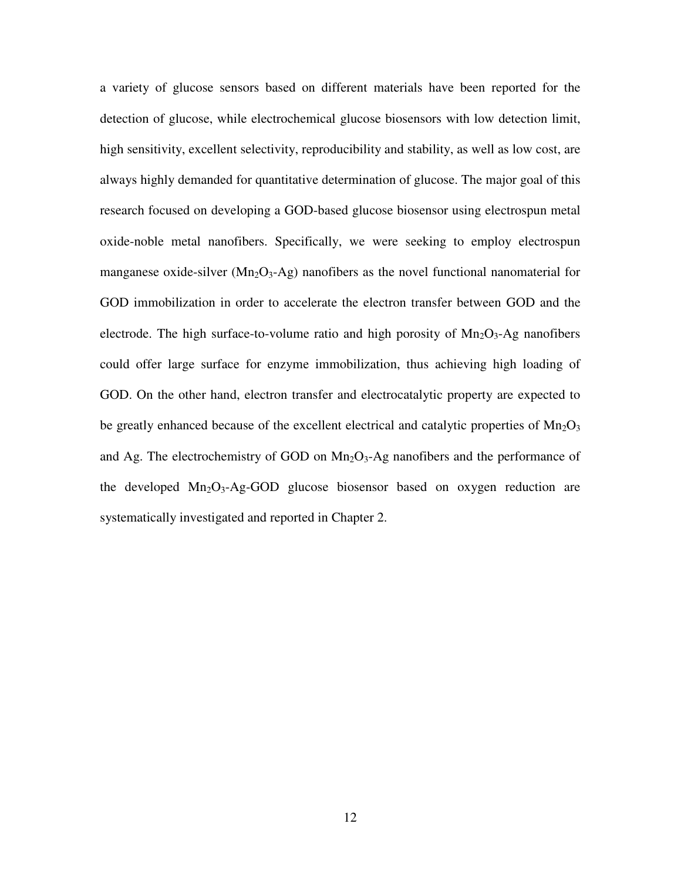a variety of glucose sensors based on different materials have been reported for the detection of glucose, while electrochemical glucose biosensors with low detection limit, high sensitivity, excellent selectivity, reproducibility and stability, as well as low cost, are always highly demanded for quantitative determination of glucose. The major goal of this research focused on developing a GOD-based glucose biosensor using electrospun metal oxide-noble metal nanofibers. Specifically, we were seeking to employ electrospun manganese oxide-silver  $(Mn<sub>2</sub>O<sub>3</sub> - Ag)$  nanofibers as the novel functional nanomaterial for GOD immobilization in order to accelerate the electron transfer between GOD and the electrode. The high surface-to-volume ratio and high porosity of  $Mn_2O_3$ -Ag nanofibers could offer large surface for enzyme immobilization, thus achieving high loading of GOD. On the other hand, electron transfer and electrocatalytic property are expected to be greatly enhanced because of the excellent electrical and catalytic properties of  $Mn_2O_3$ and Ag. The electrochemistry of GOD on  $Mn<sub>2</sub>O<sub>3</sub>$ -Ag nanofibers and the performance of the developed  $Mn_2O_3$ -Ag-GOD glucose biosensor based on oxygen reduction are systematically investigated and reported in Chapter 2.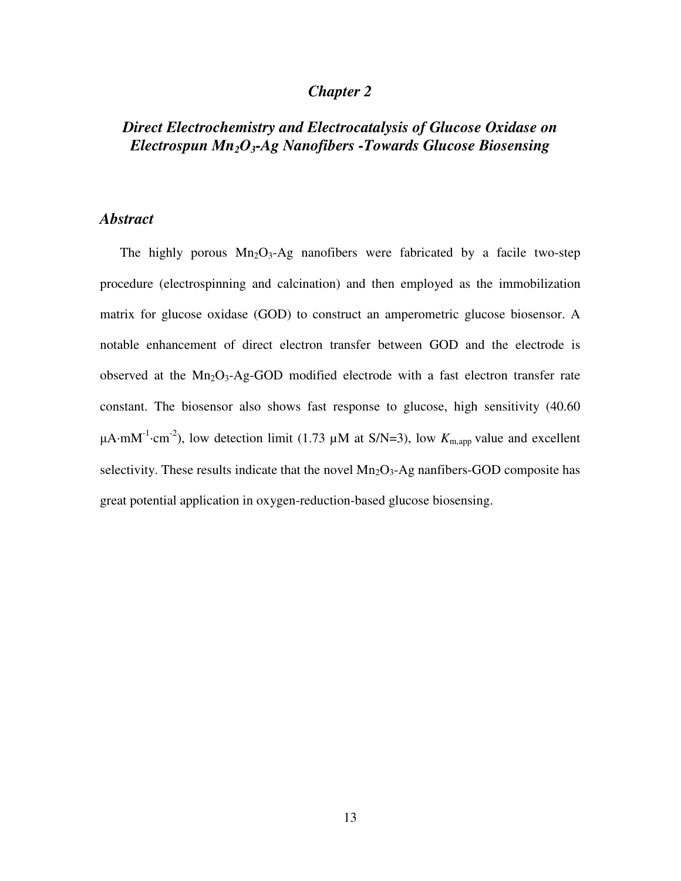### *Chapter 2*

# *Direct Electrochemistry and Electrocatalysis of Glucose Oxidase on Electrospun Mn2O3-Ag Nanofibers -Towards Glucose Biosensing*

#### *Abstract*

The highly porous  $Mn_2O_3$ -Ag nanofibers were fabricated by a facile two-step procedure (electrospinning and calcination) and then employed as the immobilization matrix for glucose oxidase (GOD) to construct an amperometric glucose biosensor. A notable enhancement of direct electron transfer between GOD and the electrode is observed at the  $Mn_2O_3$ -Ag-GOD modified electrode with a fast electron transfer rate constant. The biosensor also shows fast response to glucose, high sensitivity (40.60  $\mu$ A⋅mM<sup>-1</sup>⋅cm<sup>-2</sup>), low detection limit (1.73  $\mu$ M at S/N=3), low  $K_{m,app}$  value and excellent selectivity. These results indicate that the novel  $Mn<sub>2</sub>O<sub>3</sub>$ -Ag nanfibers-GOD composite has great potential application in oxygen-reduction-based glucose biosensing.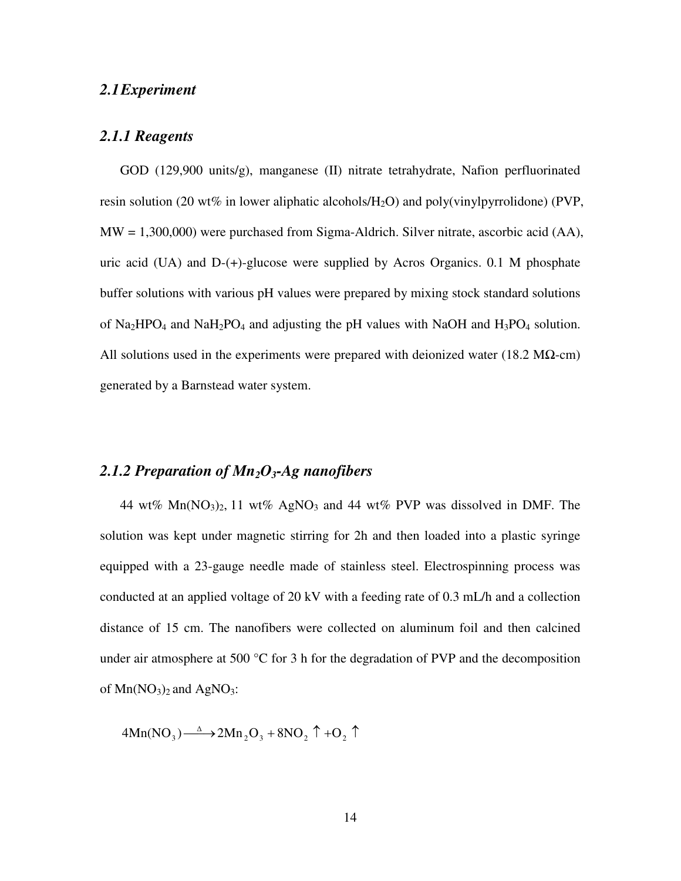#### *2.1Experiment*

#### *2.1.1 Reagents*

GOD (129,900 units/g), manganese (II) nitrate tetrahydrate, Nafion perfluorinated resin solution (20 wt% in lower aliphatic alcohols/ $H_2O$ ) and poly(vinylpyrrolidone) (PVP, MW = 1,300,000) were purchased from Sigma-Aldrich. Silver nitrate, ascorbic acid (AA), uric acid (UA) and D-(+)-glucose were supplied by Acros Organics. 0.1 M phosphate buffer solutions with various pH values were prepared by mixing stock standard solutions of  $Na<sub>2</sub>HPO<sub>4</sub>$  and  $NaH<sub>2</sub>PO<sub>4</sub>$  and adjusting the pH values with NaOH and  $H<sub>3</sub>PO<sub>4</sub>$  solution. All solutions used in the experiments were prepared with deionized water (18.2 M $\Omega$ -cm) generated by a Barnstead water system.

### *2.1.2 Preparation of Mn2O3-Ag nanofibers*

44 wt%  $Mn(NO<sub>3</sub>)<sub>2</sub>$ , 11 wt% AgNO<sub>3</sub> and 44 wt% PVP was dissolved in DMF. The solution was kept under magnetic stirring for 2h and then loaded into a plastic syringe equipped with a 23-gauge needle made of stainless steel. Electrospinning process was conducted at an applied voltage of 20 kV with a feeding rate of 0.3 mL/h and a collection distance of 15 cm. The nanofibers were collected on aluminum foil and then calcined under air atmosphere at 500  $\degree$ C for 3 h for the degradation of PVP and the decomposition of  $Mn(NO<sub>3</sub>)<sub>2</sub>$  and AgNO<sub>3</sub>:

 $4Mn(NO_3) \longrightarrow 2Mn_2O_3 + 8NO_2 \uparrow + O_2 \uparrow$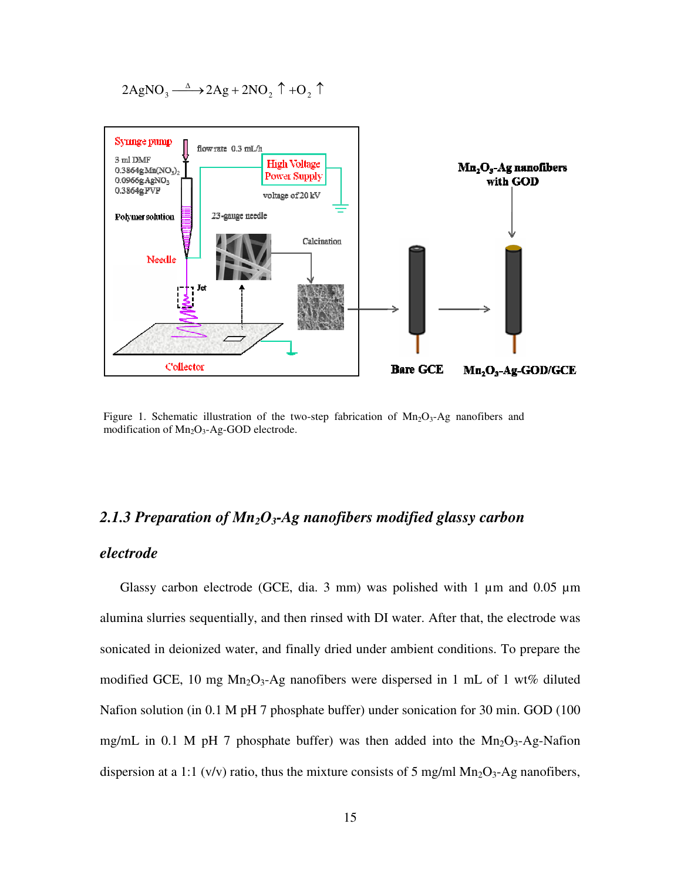$$
2\mathrm{AgNO}_3 \xrightarrow{\Delta} 2\mathrm{Ag} + 2\mathrm{NO}_2 \uparrow + \mathrm{O}_2 \uparrow
$$



Figure 1. Schematic illustration of the two-step fabrication of  $Mn_2O_3$ -Ag nanofibers and modification of  $Mn_2O_3$ -Ag-GOD electrode.

# *2.1.3 Preparation of Mn2O3-Ag nanofibers modified glassy carbon*

#### *electrode*

Glassy carbon electrode (GCE, dia. 3 mm) was polished with 1  $\mu$ m and 0.05  $\mu$ m alumina slurries sequentially, and then rinsed with DI water. After that, the electrode was sonicated in deionized water, and finally dried under ambient conditions. To prepare the modified GCE, 10 mg  $Mn_2O_3$ -Ag nanofibers were dispersed in 1 mL of 1 wt% diluted Nafion solution (in 0.1 M pH 7 phosphate buffer) under sonication for 30 min. GOD (100 mg/mL in 0.1 M pH 7 phosphate buffer) was then added into the  $Mn_2O_3$ -Ag-Nafion dispersion at a 1:1 (v/v) ratio, thus the mixture consists of 5 mg/ml  $Mn_2O_3$ -Ag nanofibers,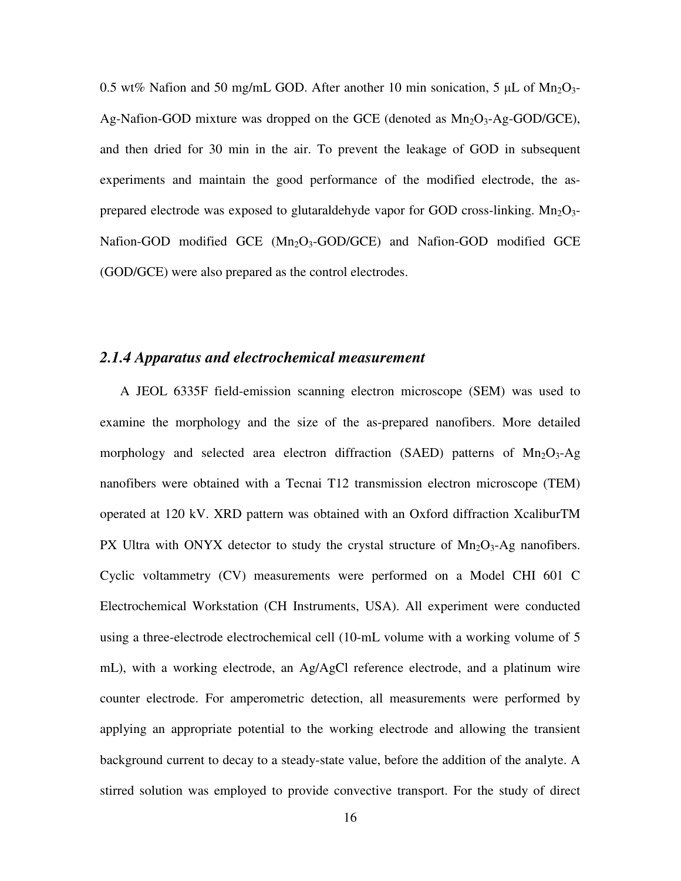0.5 wt% Nafion and 50 mg/mL GOD. After another 10 min sonication, 5  $\mu$ L of Mn<sub>2</sub>O<sub>3</sub>-Ag-Nafion-GOD mixture was dropped on the GCE (denoted as  $Mn_2O_3-Ag-GOD/GCE$ ), and then dried for 30 min in the air. To prevent the leakage of GOD in subsequent experiments and maintain the good performance of the modified electrode, the asprepared electrode was exposed to glutaraldehyde vapor for GOD cross-linking.  $Mn<sub>2</sub>O<sub>3</sub>$ -Nafion-GOD modified GCE  $(Mn<sub>2</sub>O<sub>3</sub>-GOD/GCE)$  and Nafion-GOD modified GCE (GOD/GCE) were also prepared as the control electrodes.

#### *2.1.4 Apparatus and electrochemical measurement*

A JEOL 6335F field-emission scanning electron microscope (SEM) was used to examine the morphology and the size of the as-prepared nanofibers. More detailed morphology and selected area electron diffraction (SAED) patterns of  $Mn_2O_3$ -Ag nanofibers were obtained with a Tecnai T12 transmission electron microscope (TEM) operated at 120 kV. XRD pattern was obtained with an Oxford diffraction XcaliburTM PX Ultra with ONYX detector to study the crystal structure of  $Mn_2O_3$ -Ag nanofibers. Cyclic voltammetry (CV) measurements were performed on a Model CHI 601 C Electrochemical Workstation (CH Instruments, USA). All experiment were conducted using a three-electrode electrochemical cell (10-mL volume with a working volume of 5 mL), with a working electrode, an Ag/AgCl reference electrode, and a platinum wire counter electrode. For amperometric detection, all measurements were performed by applying an appropriate potential to the working electrode and allowing the transient background current to decay to a steady-state value, before the addition of the analyte. A stirred solution was employed to provide convective transport. For the study of direct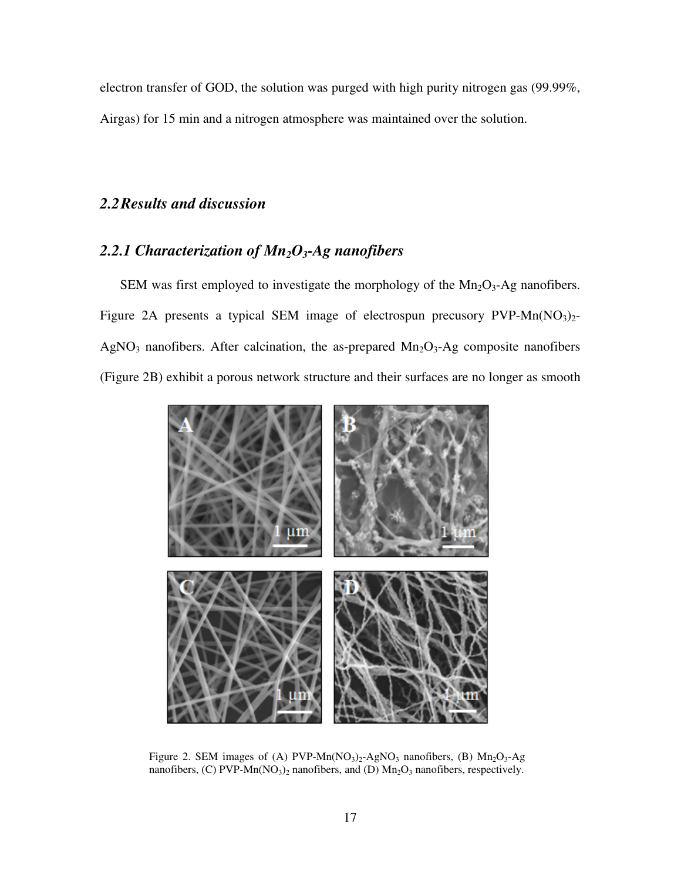electron transfer of GOD, the solution was purged with high purity nitrogen gas (99.99%, Airgas) for 15 min and a nitrogen atmosphere was maintained over the solution.

# *2.2Results and discussion*

# *2.2.1 Characterization of Mn2O3-Ag nanofibers*

SEM was first employed to investigate the morphology of the  $Mn<sub>2</sub>O<sub>3</sub>$ -Ag nanofibers. Figure 2A presents a typical SEM image of electrospun precusory  $PVP-Mn(NO<sub>3</sub>)<sub>2</sub>$ -AgNO<sub>3</sub> nanofibers. After calcination, the as-prepared  $Mn_2O_3$ -Ag composite nanofibers (Figure 2B) exhibit a porous network structure and their surfaces are no longer as smooth



Figure 2. SEM images of (A) PVP-Mn( $NO<sub>3</sub>$ )<sub>2</sub>-AgNO<sub>3</sub> nanofibers, (B) Mn<sub>2</sub>O<sub>3</sub>-Ag nanofibers, (C) PVP-Mn(NO<sub>3</sub>)<sub>2</sub> nanofibers, and (D)  $\text{Mn}_2\text{O}_3$  nanofibers, respectively.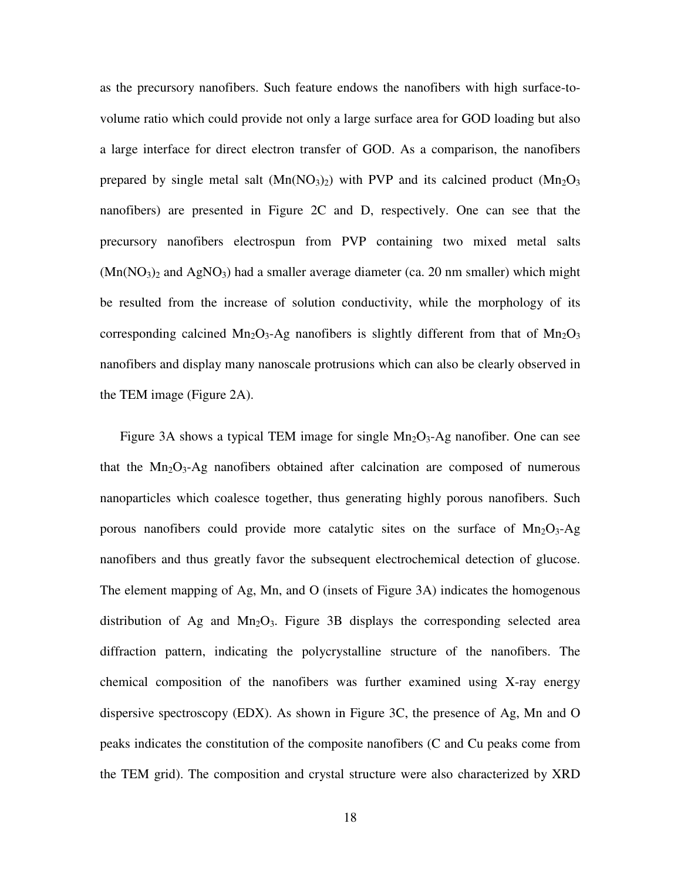as the precursory nanofibers. Such feature endows the nanofibers with high surface-tovolume ratio which could provide not only a large surface area for GOD loading but also a large interface for direct electron transfer of GOD. As a comparison, the nanofibers prepared by single metal salt  $(Mn(NO<sub>3</sub>)<sub>2</sub>)$  with PVP and its calcined product  $(Mn<sub>2</sub>O<sub>3</sub>)$ nanofibers) are presented in Figure 2C and D, respectively. One can see that the precursory nanofibers electrospun from PVP containing two mixed metal salts  $(Mn(NO<sub>3</sub>)<sub>2</sub>$  and AgNO<sub>3</sub>) had a smaller average diameter (ca. 20 nm smaller) which might be resulted from the increase of solution conductivity, while the morphology of its corresponding calcined  $Mn_2O_3$ -Ag nanofibers is slightly different from that of  $Mn_2O_3$ nanofibers and display many nanoscale protrusions which can also be clearly observed in the TEM image (Figure 2A).

Figure 3A shows a typical TEM image for single  $Mn_2O_3$ -Ag nanofiber. One can see that the  $Mn_2O_3$ -Ag nanofibers obtained after calcination are composed of numerous nanoparticles which coalesce together, thus generating highly porous nanofibers. Such porous nanofibers could provide more catalytic sites on the surface of  $Mn_2O_3$ -Ag nanofibers and thus greatly favor the subsequent electrochemical detection of glucose. The element mapping of Ag, Mn, and O (insets of Figure 3A) indicates the homogenous distribution of Ag and  $Mn_2O_3$ . Figure 3B displays the corresponding selected area diffraction pattern, indicating the polycrystalline structure of the nanofibers. The chemical composition of the nanofibers was further examined using X-ray energy dispersive spectroscopy (EDX). As shown in Figure 3C, the presence of Ag, Mn and O peaks indicates the constitution of the composite nanofibers (C and Cu peaks come from the TEM grid). The composition and crystal structure were also characterized by XRD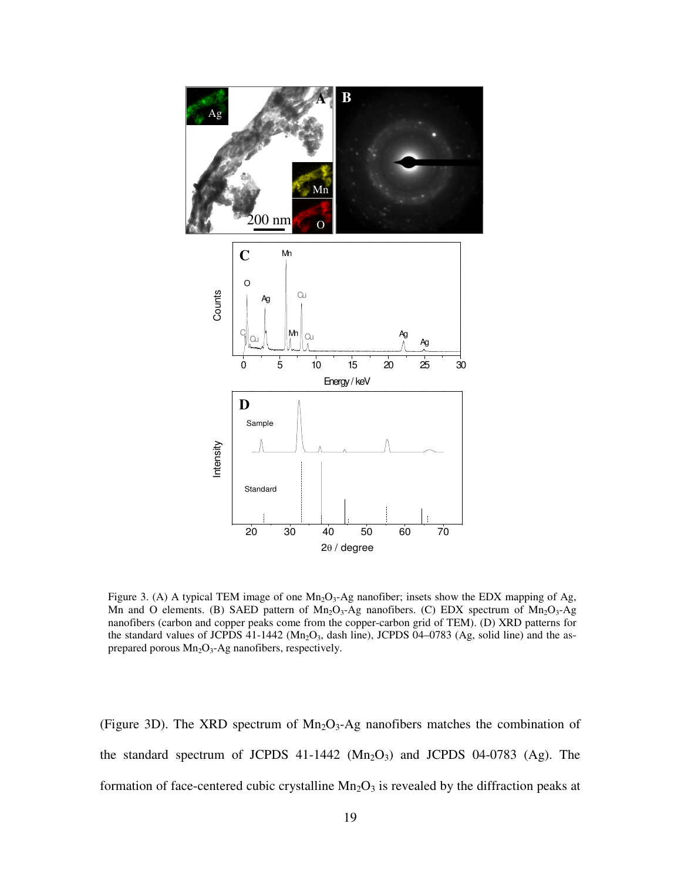

Figure 3. (A) A typical TEM image of one  $Mn_2O_3$ -Ag nanofiber; insets show the EDX mapping of Ag, Mn and O elements. (B) SAED pattern of  $Mn_2O_3$ -Ag nanofibers. (C) EDX spectrum of  $Mn_2O_3$ -Ag nanofibers (carbon and copper peaks come from the copper-carbon grid of TEM). (D) XRD patterns for the standard values of JCPDS 41-1442 (Mn<sub>2</sub>O<sub>3</sub>, dash line), JCPDS 04-0783 (Ag, solid line) and the asprepared porous  $Mn<sub>2</sub>O<sub>3</sub>$ -Ag nanofibers, respectively.

(Figure 3D). The XRD spectrum of  $Mn_2O_3$ -Ag nanofibers matches the combination of the standard spectrum of JCPDS  $41-1442$  (Mn<sub>2</sub>O<sub>3</sub>) and JCPDS 04-0783 (Ag). The formation of face-centered cubic crystalline  $Mn<sub>2</sub>O<sub>3</sub>$  is revealed by the diffraction peaks at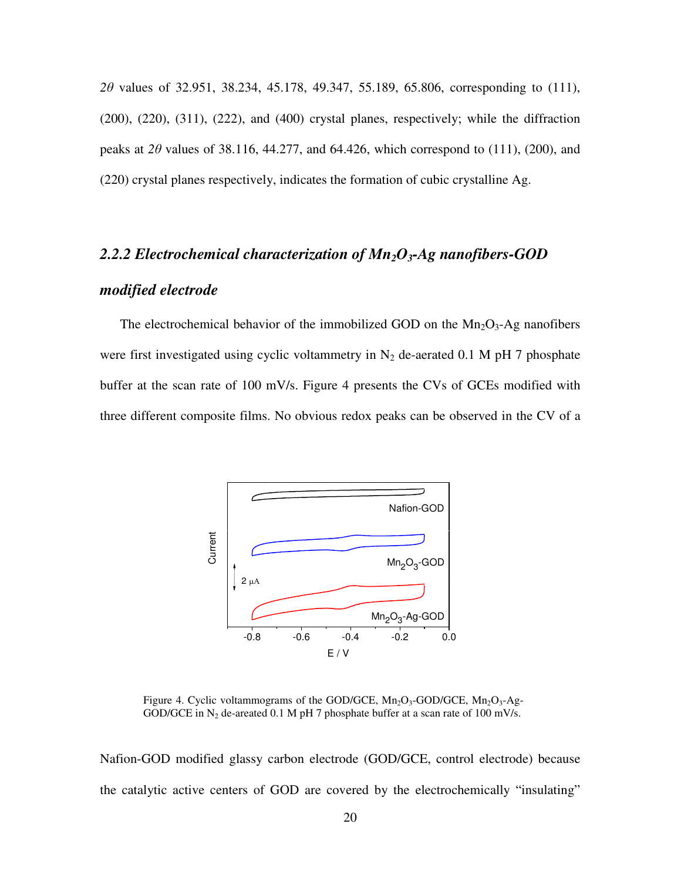*2*θ values of 32.951, 38.234, 45.178, 49.347, 55.189, 65.806, corresponding to (111), (200), (220), (311), (222), and (400) crystal planes, respectively; while the diffraction peaks at  $2\theta$  values of 38.116, 44.277, and 64.426, which correspond to (111), (200), and (220) crystal planes respectively, indicates the formation of cubic crystalline Ag.

# *2.2.2 Electrochemical characterization of Mn2O3-Ag nanofibers-GOD*

# *modified electrode*

The electrochemical behavior of the immobilized GOD on the  $Mn_2O_3$ -Ag nanofibers were first investigated using cyclic voltammetry in  $N_2$  de-aerated 0.1 M pH 7 phosphate buffer at the scan rate of 100 mV/s. Figure 4 presents the CVs of GCEs modified with three different composite films. No obvious redox peaks can be observed in the CV of a



Figure 4. Cyclic voltammograms of the GOD/GCE,  $Mn_2O_3$ -GOD/GCE,  $Mn_2O_3$ -Ag-GOD/GCE in N<sub>2</sub> de-areated 0.1 M pH 7 phosphate buffer at a scan rate of 100 mV/s.

Nafion-GOD modified glassy carbon electrode (GOD/GCE, control electrode) because the catalytic active centers of GOD are covered by the electrochemically "insulating"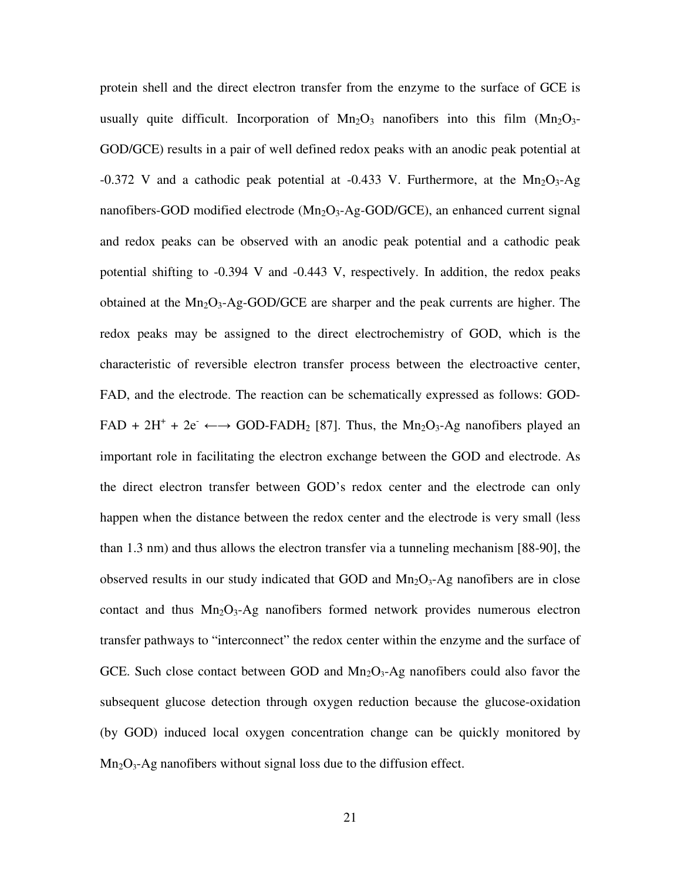protein shell and the direct electron transfer from the enzyme to the surface of GCE is usually quite difficult. Incorporation of  $Mn_2O_3$  nanofibers into this film  $(Mn_2O_3)$ -GOD/GCE) results in a pair of well defined redox peaks with an anodic peak potential at -0.372 V and a cathodic peak potential at -0.433 V. Furthermore, at the  $Mn_2O_3$ -Ag nanofibers-GOD modified electrode  $(Mn_2O_3-Ag-GOD/GCE)$ , an enhanced current signal and redox peaks can be observed with an anodic peak potential and a cathodic peak potential shifting to -0.394 V and -0.443 V, respectively. In addition, the redox peaks obtained at the  $Mn_2O_3$ -Ag-GOD/GCE are sharper and the peak currents are higher. The redox peaks may be assigned to the direct electrochemistry of GOD, which is the characteristic of reversible electron transfer process between the electroactive center, FAD, and the electrode. The reaction can be schematically expressed as follows: GOD- $FAD + 2H^+ + 2e^- \leftarrow$  GOD-FADH<sub>2</sub> [87]. Thus, the Mn<sub>2</sub>O<sub>3</sub>-Ag nanofibers played an important role in facilitating the electron exchange between the GOD and electrode. As the direct electron transfer between GOD's redox center and the electrode can only happen when the distance between the redox center and the electrode is very small (less than 1.3 nm) and thus allows the electron transfer via a tunneling mechanism [88-90], the observed results in our study indicated that GOD and  $Mn_2O_3$ -Ag nanofibers are in close contact and thus  $Mn_2O_3$ -Ag nanofibers formed network provides numerous electron transfer pathways to "interconnect" the redox center within the enzyme and the surface of GCE. Such close contact between GOD and  $Mn_2O_3$ -Ag nanofibers could also favor the subsequent glucose detection through oxygen reduction because the glucose-oxidation (by GOD) induced local oxygen concentration change can be quickly monitored by  $Mn<sub>2</sub>O<sub>3</sub>$ -Ag nanofibers without signal loss due to the diffusion effect.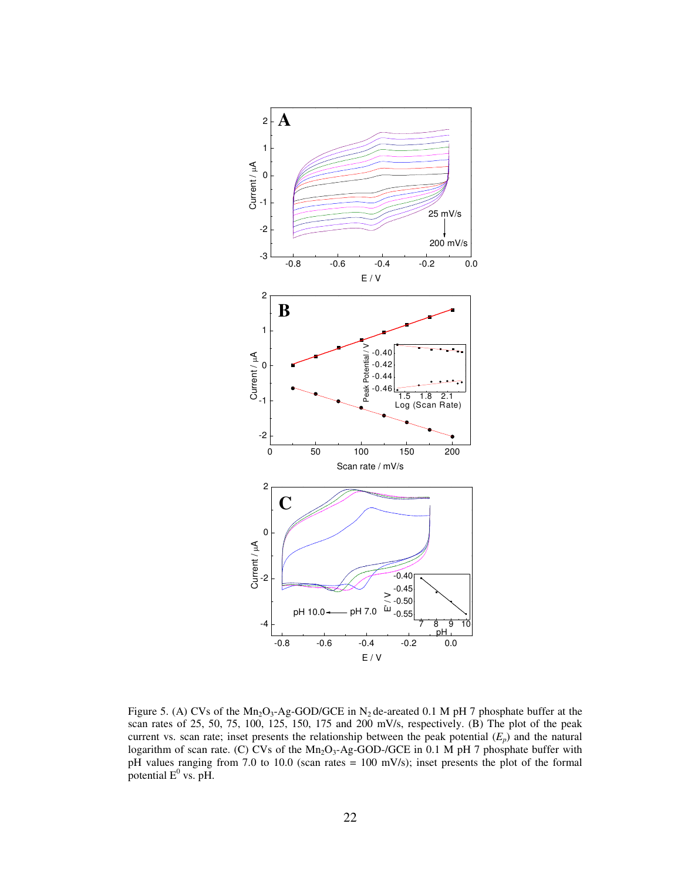

Figure 5. (A) CVs of the  $Mn_2O_3$ -Ag-GOD/GCE in N<sub>2</sub> de-areated 0.1 M pH 7 phosphate buffer at the scan rates of 25, 50, 75, 100, 125, 150, 175 and 200 mV/s, respectively. (B) The plot of the peak current vs. scan rate; inset presents the relationship between the peak potential  $(E_p)$  and the natural logarithm of scan rate. (C) CVs of the Mn<sub>2</sub>O<sub>3</sub>-Ag-GOD-/GCE in 0.1 M pH 7 phosphate buffer with pH values ranging from 7.0 to 10.0 (scan rates = 100 mV/s); inset presents the plot of the formal potential  $E^0$  vs. pH.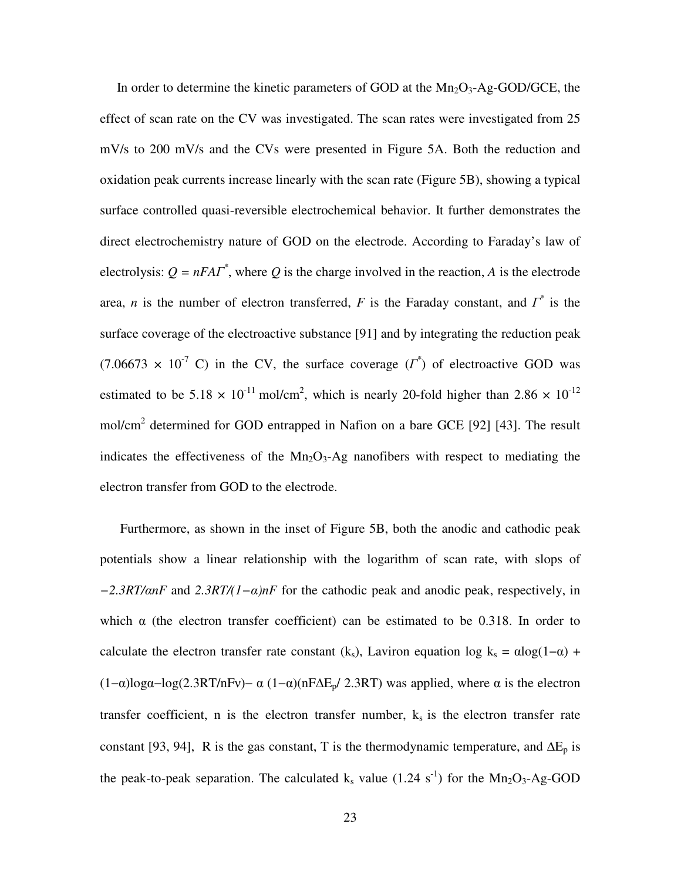In order to determine the kinetic parameters of GOD at the  $Mn_2O_3$ -Ag-GOD/GCE, the effect of scan rate on the CV was investigated. The scan rates were investigated from 25 mV/s to 200 mV/s and the CVs were presented in Figure 5A. Both the reduction and oxidation peak currents increase linearly with the scan rate (Figure 5B), showing a typical surface controlled quasi-reversible electrochemical behavior. It further demonstrates the direct electrochemistry nature of GOD on the electrode. According to Faraday's law of electrolysis:  $Q = nFAT^*$ , where Q is the charge involved in the reaction, A is the electrode area, *n* is the number of electron transferred, *F* is the Faraday constant, and  $\overline{\Gamma}^*$  is the surface coverage of the electroactive substance [91] and by integrating the reduction peak  $(7.06673 \times 10^{-7} \text{ C})$  in the CV, the surface coverage  $(I^*)$  of electroactive GOD was estimated to be 5.18  $\times$  10<sup>-11</sup> mol/cm<sup>2</sup>, which is nearly 20-fold higher than 2.86  $\times$  10<sup>-12</sup> mol/cm<sup>2</sup> determined for GOD entrapped in Nafion on a bare GCE [92] [43]. The result indicates the effectiveness of the  $Mn<sub>2</sub>O<sub>3</sub>$ -Ag nanofibers with respect to mediating the electron transfer from GOD to the electrode.

Furthermore, as shown in the inset of Figure 5B, both the anodic and cathodic peak potentials show a linear relationship with the logarithm of scan rate, with slops of *−2.3RT/*α*nF* and *2.3RT/(1−*α*)nF* for the cathodic peak and anodic peak, respectively, in which  $\alpha$  (the electron transfer coefficient) can be estimated to be 0.318. In order to calculate the electron transfer rate constant (k<sub>s</sub>), Laviron equation log k<sub>s</sub> =  $\alpha \log(1-\alpha)$  + (1–α)logα-log(2.3RT/nFv)– α (1–α)(nFΔE<sub>p</sub>/ 2.3RT) was applied, where α is the electron transfer coefficient, n is the electron transfer number,  $k_s$  is the electron transfer rate constant [93, 94], R is the gas constant, T is the thermodynamic temperature, and  $\Delta E_p$  is the peak-to-peak separation. The calculated  $k_s$  value (1.24 s<sup>-1</sup>) for the Mn<sub>2</sub>O<sub>3</sub>-Ag-GOD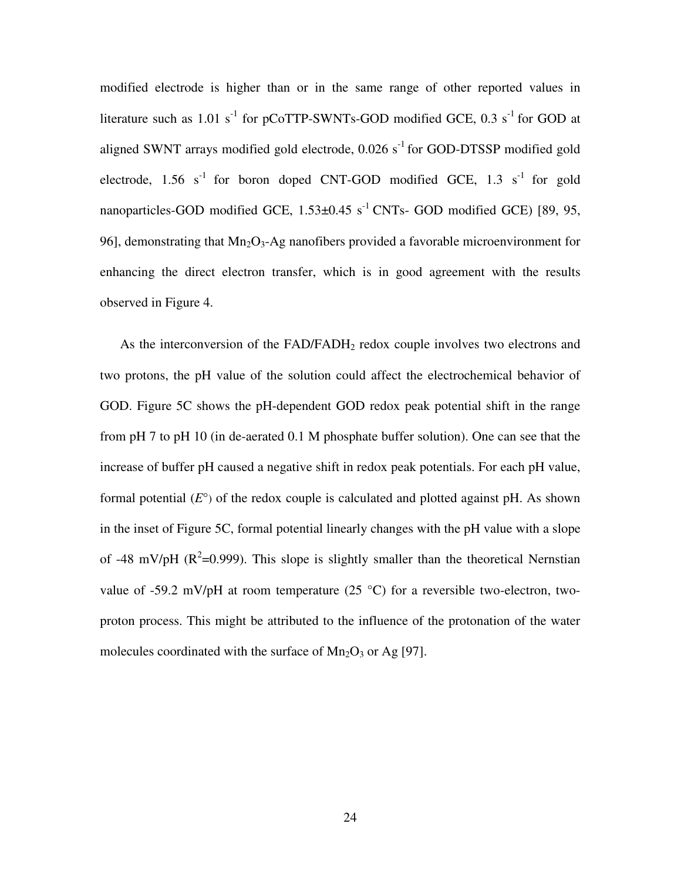modified electrode is higher than or in the same range of other reported values in literature such as  $1.01 \text{ s}^{-1}$  for pCoTTP-SWNTs-GOD modified GCE, 0.3 s<sup>-1</sup> for GOD at aligned SWNT arrays modified gold electrode,  $0.026$  s<sup>-1</sup> for GOD-DTSSP modified gold electrode, 1.56  $s^{-1}$  for boron doped CNT-GOD modified GCE, 1.3  $s^{-1}$  for gold nanoparticles-GOD modified GCE,  $1.53\pm0.45$  s<sup>-1</sup> CNTs- GOD modified GCE) [89, 95, 96], demonstrating that  $Mn_2O_3$ -Ag nanofibers provided a favorable microenvironment for enhancing the direct electron transfer, which is in good agreement with the results observed in Figure 4.

As the interconversion of the FAD/FADH<sub>2</sub> redox couple involves two electrons and two protons, the pH value of the solution could affect the electrochemical behavior of GOD. Figure 5C shows the pH-dependent GOD redox peak potential shift in the range from pH 7 to pH 10 (in de-aerated 0.1 M phosphate buffer solution). One can see that the increase of buffer pH caused a negative shift in redox peak potentials. For each pH value, formal potential  $(E^{\circ})$  of the redox couple is calculated and plotted against pH. As shown in the inset of Figure 5C, formal potential linearly changes with the pH value with a slope of -48 mV/pH ( $R^2$ =0.999). This slope is slightly smaller than the theoretical Nernstian value of -59.2 mV/pH at room temperature (25  $^{\circ}$ C) for a reversible two-electron, twoproton process. This might be attributed to the influence of the protonation of the water molecules coordinated with the surface of  $Mn_2O_3$  or Ag [97].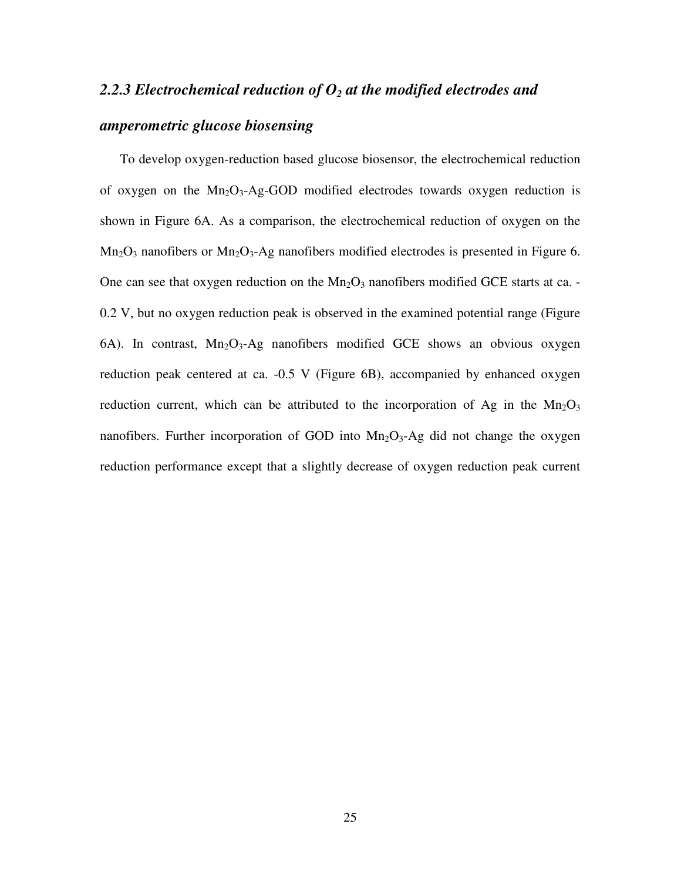# *2.2.3 Electrochemical reduction of O2 at the modified electrodes and amperometric glucose biosensing*

To develop oxygen-reduction based glucose biosensor, the electrochemical reduction of oxygen on the Mn<sub>2</sub>O<sub>3</sub>-Ag-GOD modified electrodes towards oxygen reduction is shown in Figure 6A. As a comparison, the electrochemical reduction of oxygen on the  $Mn_2O_3$  nanofibers or  $Mn_2O_3$ -Ag nanofibers modified electrodes is presented in Figure 6. One can see that oxygen reduction on the  $Mn_2O_3$  nanofibers modified GCE starts at ca. -0.2 V, but no oxygen reduction peak is observed in the examined potential range (Figure 6A). In contrast,  $Mn<sub>2</sub>O<sub>3</sub>$ -Ag nanofibers modified GCE shows an obvious oxygen reduction peak centered at ca. -0.5 V (Figure 6B), accompanied by enhanced oxygen reduction current, which can be attributed to the incorporation of Ag in the  $Mn_2O_3$ nanofibers. Further incorporation of GOD into  $Mn_2O_3$ -Ag did not change the oxygen reduction performance except that a slightly decrease of oxygen reduction peak current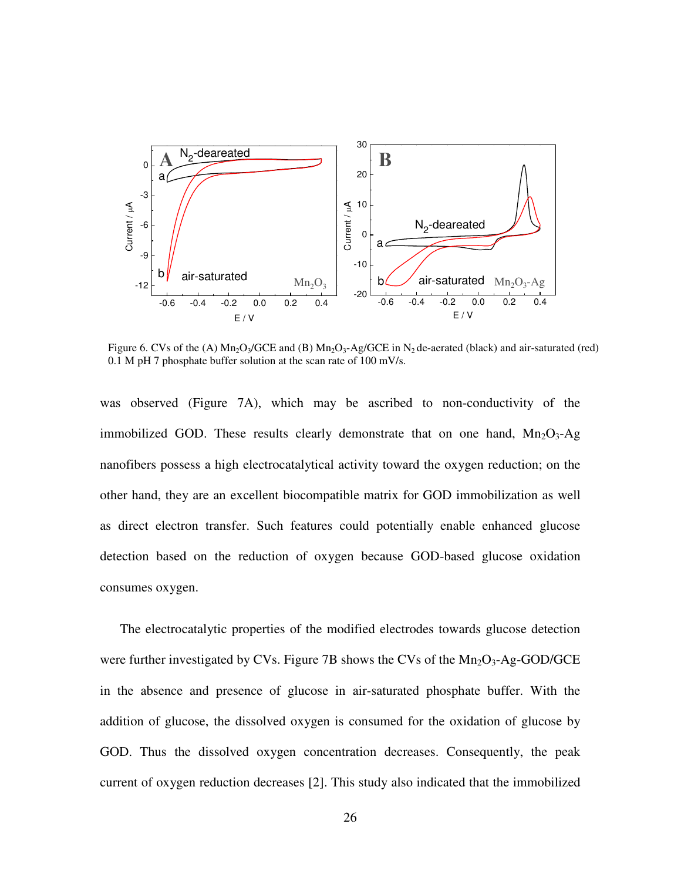

Figure 6. CVs of the (A)  $Mn_2O_3/GCE$  and (B)  $Mn_2O_3$ -Ag/GCE in N<sub>2</sub> de-aerated (black) and air-saturated (red) 0.1 M pH 7 phosphate buffer solution at the scan rate of 100 mV/s.

was observed (Figure 7A), which may be ascribed to non-conductivity of the immobilized GOD. These results clearly demonstrate that on one hand,  $Mn_2O_3$ -Ag nanofibers possess a high electrocatalytical activity toward the oxygen reduction; on the other hand, they are an excellent biocompatible matrix for GOD immobilization as well as direct electron transfer. Such features could potentially enable enhanced glucose detection based on the reduction of oxygen because GOD-based glucose oxidation consumes oxygen.

The electrocatalytic properties of the modified electrodes towards glucose detection were further investigated by CVs. Figure 7B shows the CVs of the  $Mn_2O_3$ -Ag-GOD/GCE in the absence and presence of glucose in air-saturated phosphate buffer. With the addition of glucose, the dissolved oxygen is consumed for the oxidation of glucose by GOD. Thus the dissolved oxygen concentration decreases. Consequently, the peak current of oxygen reduction decreases [2]. This study also indicated that the immobilized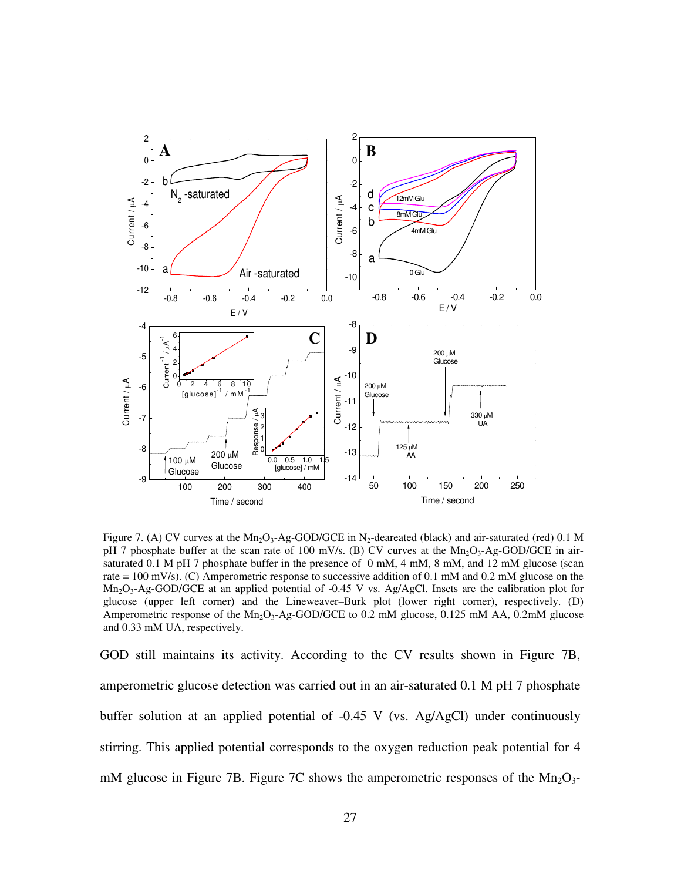

Figure 7. (A) CV curves at the  $Mn_2O_3$ -Ag-GOD/GCE in N<sub>2</sub>-deareated (black) and air-saturated (red) 0.1 M pH 7 phosphate buffer at the scan rate of 100 mV/s. (B) CV curves at the  $Mn_2O_3$ -Ag-GOD/GCE in airsaturated 0.1 M pH 7 phosphate buffer in the presence of 0 mM, 4 mM, 8 mM, and 12 mM glucose (scan rate = 100 mV/s). (C) Amperometric response to successive addition of 0.1 mM and 0.2 mM glucose on the  $Mn<sub>2</sub>O<sub>3</sub>$ -Ag-GOD/GCE at an applied potential of -0.45 V vs. Ag/AgCl. Insets are the calibration plot for glucose (upper left corner) and the Lineweaver–Burk plot (lower right corner), respectively. (D) Amperometric response of the  $Mn_2O_3$ -Ag-GOD/GCE to 0.2 mM glucose, 0.125 mM AA, 0.2mM glucose and 0.33 mM UA, respectively.

GOD still maintains its activity. According to the CV results shown in Figure 7B, amperometric glucose detection was carried out in an air-saturated 0.1 M pH 7 phosphate buffer solution at an applied potential of -0.45 V (vs. Ag/AgCl) under continuously stirring. This applied potential corresponds to the oxygen reduction peak potential for 4 mM glucose in Figure 7B. Figure 7C shows the amperometric responses of the  $Mn_2O_3$ -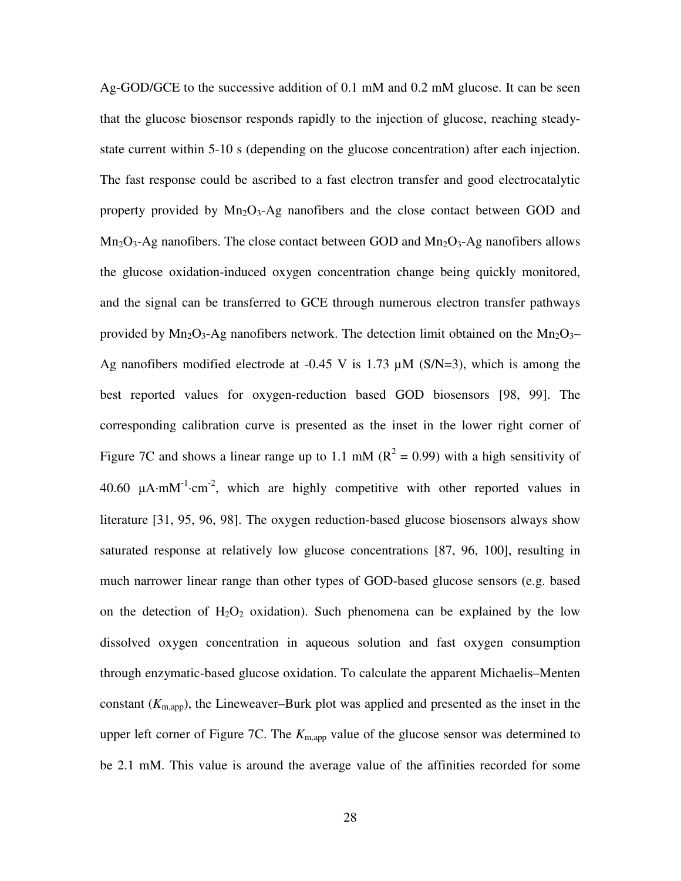Ag-GOD/GCE to the successive addition of 0.1 mM and 0.2 mM glucose. It can be seen that the glucose biosensor responds rapidly to the injection of glucose, reaching steadystate current within 5-10 s (depending on the glucose concentration) after each injection. The fast response could be ascribed to a fast electron transfer and good electrocatalytic property provided by  $Mn_2O_3$ -Ag nanofibers and the close contact between GOD and  $Mn<sub>2</sub>O<sub>3</sub>$ -Ag nanofibers. The close contact between GOD and  $Mn<sub>2</sub>O<sub>3</sub>$ -Ag nanofibers allows the glucose oxidation-induced oxygen concentration change being quickly monitored, and the signal can be transferred to GCE through numerous electron transfer pathways provided by  $Mn_2O_3$ -Ag nanofibers network. The detection limit obtained on the  $Mn_2O_3$ -Ag nanofibers modified electrode at  $-0.45$  V is 1.73  $\mu$ M (S/N=3), which is among the best reported values for oxygen-reduction based GOD biosensors [98, 99]. The corresponding calibration curve is presented as the inset in the lower right corner of Figure 7C and shows a linear range up to 1.1 mM ( $R^2 = 0.99$ ) with a high sensitivity of 40.60  $\mu$ A⋅mM<sup>-1</sup>⋅cm<sup>-2</sup>, which are highly competitive with other reported values in literature [31, 95, 96, 98]. The oxygen reduction-based glucose biosensors always show saturated response at relatively low glucose concentrations [87, 96, 100], resulting in much narrower linear range than other types of GOD-based glucose sensors (e.g. based on the detection of  $H_2O_2$  oxidation). Such phenomena can be explained by the low dissolved oxygen concentration in aqueous solution and fast oxygen consumption through enzymatic-based glucose oxidation. To calculate the apparent Michaelis–Menten constant  $(K_{m \text{ and}})$ , the Lineweaver–Burk plot was applied and presented as the inset in the upper left corner of Figure 7C. The  $K_{\text{m,app}}$  value of the glucose sensor was determined to be 2.1 mM. This value is around the average value of the affinities recorded for some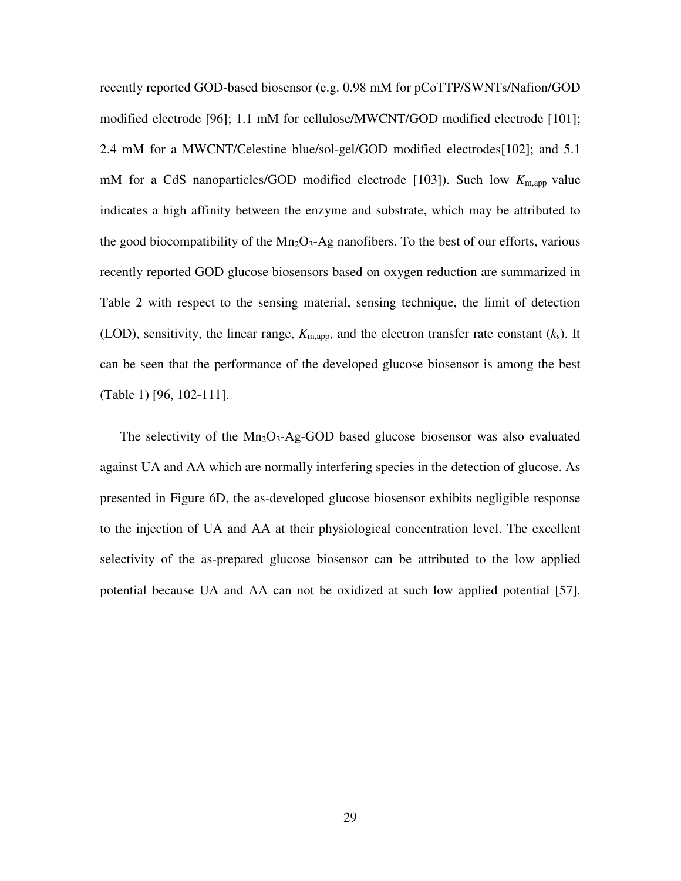recently reported GOD-based biosensor (e.g. 0.98 mM for pCoTTP/SWNTs/Nafion/GOD modified electrode [96]; 1.1 mM for cellulose/MWCNT/GOD modified electrode [101]; 2.4 mM for a MWCNT/Celestine blue/sol-gel/GOD modified electrodes[102]; and 5.1 mM for a CdS nanoparticles/GOD modified electrode [103]). Such low  $K_{\text{m,app}}$  value indicates a high affinity between the enzyme and substrate, which may be attributed to the good biocompatibility of the  $Mn_2O_3$ -Ag nanofibers. To the best of our efforts, various recently reported GOD glucose biosensors based on oxygen reduction are summarized in Table 2 with respect to the sensing material, sensing technique, the limit of detection (LOD), sensitivity, the linear range,  $K_{m,app}$ , and the electron transfer rate constant  $(k_s)$ . It can be seen that the performance of the developed glucose biosensor is among the best (Table 1) [96, 102-111].

The selectivity of the  $Mn_2O_3$ -Ag-GOD based glucose biosensor was also evaluated against UA and AA which are normally interfering species in the detection of glucose. As presented in Figure 6D, the as-developed glucose biosensor exhibits negligible response to the injection of UA and AA at their physiological concentration level. The excellent selectivity of the as-prepared glucose biosensor can be attributed to the low applied potential because UA and AA can not be oxidized at such low applied potential [57].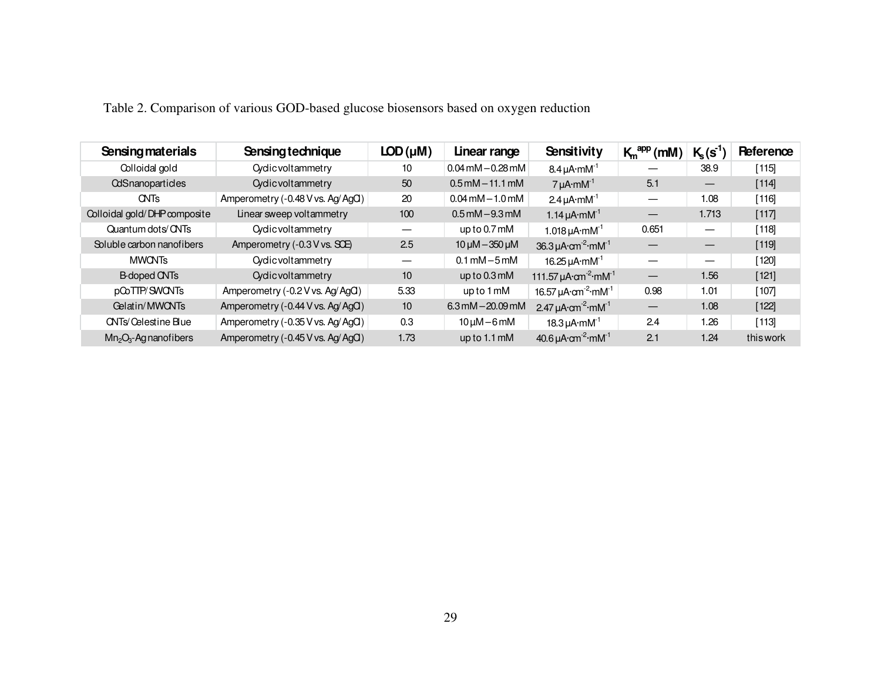| <b>Sensing materials</b>     | Sensing technique                | $LOD(\mu M)$ | Linear range                             | Sensitivity                                                      | $K_m^{app}$ (mM)         | $K_{s}(s^{1})$    | Reference |
|------------------------------|----------------------------------|--------------|------------------------------------------|------------------------------------------------------------------|--------------------------|-------------------|-----------|
| Colloidal gold               | <b>Cyclic voltammetry</b>        | 10           | $0.04$ mM $-0.28$ mM                     | $8.4 \mu A \cdot m M^{-1}$                                       |                          | 38.9              | $[115]$   |
| <b>CdSnanoparticles</b>      | <b>Cyclic voltammetry</b>        | 50           | $0.5$ mM $-$ 11.1 mM                     | $7 \mu A \cdot m M^{-1}$                                         | 5.1                      | —                 | $[114]$   |
| <b>CNTs</b>                  | Amperometry (-0.48 V vs. Ag/AgO) | 20           | $0.04 \,\mathrm{mM} - 1.0 \,\mathrm{mM}$ | 2.4 $\mu$ A·mM <sup>-1</sup>                                     |                          | 1.08              | $[116]$   |
| Colloidal gold/DHP composite | Linear sweep voltammetry         | 100          | $0.5$ mM $-9.3$ mM                       | 1.14 $\mu$ A·mM <sup>-1</sup>                                    | $\overline{\phantom{m}}$ | 1.713             | [117]     |
| Quantum dots/ CNTs           | <b>O</b> ydic voltammetry        |              | up to $0.7 \text{ mM}$                   | $1.018 \mu A \cdot m M^{-1}$                                     | 0.651                    | $\hspace{0.05cm}$ | $[118]$   |
| Soluble carbon nanofibers    | Amperometry (-0.3 V vs. SCE)     | 2.5          | $10 \mu M - 350 \mu M$                   | 36.3 $\mu$ A $\cdot$ cm <sup>-2</sup> $\cdot$ mM <sup>-1</sup>   |                          | $\hspace{0.05cm}$ | [119]     |
| <b>MWONTs</b>                | <b>O</b> ydic voltammetry        |              | $0.1 \text{ mM} - 5 \text{ mM}$          | 16.25 $\mu$ A $\cdot$ mM $^{-1}$                                 |                          | $\hspace{0.05cm}$ | $[120]$   |
| <b>B-doped CNTs</b>          | <b>O</b> ydic voltammetry        | 10           | up to $0.3 \text{ mM}$                   | 111.57 $\mu$ A $\cdot$ cm <sup>-2</sup> $\cdot$ mM <sup>-1</sup> | $\overline{\phantom{0}}$ | 1.56              | [121]     |
| pCoTTP/SWONTs                | Amperometry (-0.2 V vs. Ag/AgO)  | 5.33         | up to 1 mM                               | 16.57 $\mu$ A·cm <sup>-2</sup> ·mM <sup>-1</sup>                 | 0.98                     | 1.01              | [107]     |
| Gelatin/MWCNTs               | Amperometry (-0.44 V vs. Ag/AgO) | 10           | $6.3$ mM $-20.09$ mM                     | 2.47 $\mu$ A $\cdot$ cm <sup>-2</sup> $\cdot$ mM <sup>-1</sup>   | $\overline{\phantom{m}}$ | 1.08              | $[122]$   |
| <b>CNTs/Celestine Blue</b>   | Amperometry (-0.35 V vs. Ag/AgO) | 0.3          | $10 \mu M - 6 \text{m}$                  | $18.3 \mu A \cdot m M^{-1}$                                      | 2.4                      | 1.26              | [113]     |
| $Mn_2O_3$ -Ag nanofibers     | Amperometry (-0.45 V vs. Ag/AgO) | 1.73         | up to 1.1 mM                             | 40.6 $\mu$ A $\cdot$ cm <sup>-2</sup> $\cdot$ mM <sup>-1</sup>   | 2.1                      | 1.24              | this work |
|                              |                                  |              |                                          |                                                                  |                          |                   |           |

Table 2. Comparison of various GOD-based glucose biosensors based on oxygen reduction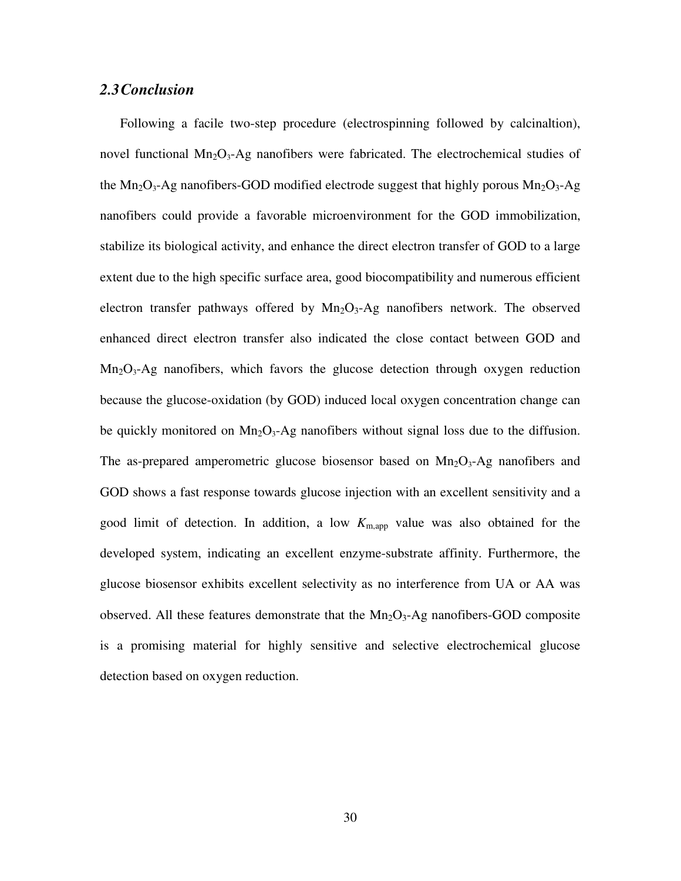#### *2.3Conclusion*

Following a facile two-step procedure (electrospinning followed by calcinaltion), novel functional  $Mn_2O_3$ -Ag nanofibers were fabricated. The electrochemical studies of the Mn<sub>2</sub>O<sub>3</sub>-Ag nanofibers-GOD modified electrode suggest that highly porous Mn<sub>2</sub>O<sub>3</sub>-Ag nanofibers could provide a favorable microenvironment for the GOD immobilization, stabilize its biological activity, and enhance the direct electron transfer of GOD to a large extent due to the high specific surface area, good biocompatibility and numerous efficient electron transfer pathways offered by  $Mn_2O_3$ -Ag nanofibers network. The observed enhanced direct electron transfer also indicated the close contact between GOD and  $Mn<sub>2</sub>O<sub>3</sub>$ -Ag nanofibers, which favors the glucose detection through oxygen reduction because the glucose-oxidation (by GOD) induced local oxygen concentration change can be quickly monitored on  $Mn_2O_3$ -Ag nanofibers without signal loss due to the diffusion. The as-prepared amperometric glucose biosensor based on  $Mn_2O_3$ -Ag nanofibers and GOD shows a fast response towards glucose injection with an excellent sensitivity and a good limit of detection. In addition, a low  $K_{\text{m,app}}$  value was also obtained for the developed system, indicating an excellent enzyme-substrate affinity. Furthermore, the glucose biosensor exhibits excellent selectivity as no interference from UA or AA was observed. All these features demonstrate that the  $Mn_2O_3$ -Ag nanofibers-GOD composite is a promising material for highly sensitive and selective electrochemical glucose detection based on oxygen reduction.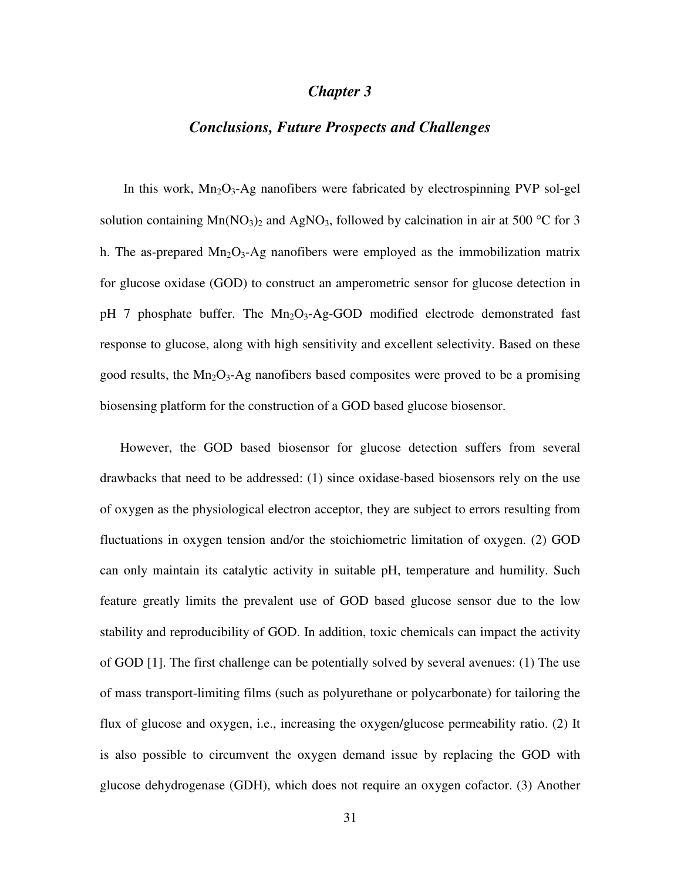#### *Chapter 3*

#### *Conclusions, Future Prospects and Challenges*

In this work,  $Mn_2O_3$ -Ag nanofibers were fabricated by electrospinning PVP sol-gel solution containing  $Mn(NO_3)_2$  and AgNO<sub>3</sub>, followed by calcination in air at 500 °C for 3 h. The as-prepared  $Mn_2O_3$ -Ag nanofibers were employed as the immobilization matrix for glucose oxidase (GOD) to construct an amperometric sensor for glucose detection in pH 7 phosphate buffer. The  $Mn_2O_3$ -Ag-GOD modified electrode demonstrated fast response to glucose, along with high sensitivity and excellent selectivity. Based on these good results, the  $Mn_2O_3$ -Ag nanofibers based composites were proved to be a promising biosensing platform for the construction of a GOD based glucose biosensor.

However, the GOD based biosensor for glucose detection suffers from several drawbacks that need to be addressed: (1) since oxidase-based biosensors rely on the use of oxygen as the physiological electron acceptor, they are subject to errors resulting from fluctuations in oxygen tension and/or the stoichiometric limitation of oxygen. (2) GOD can only maintain its catalytic activity in suitable pH, temperature and humility. Such feature greatly limits the prevalent use of GOD based glucose sensor due to the low stability and reproducibility of GOD. In addition, toxic chemicals can impact the activity of GOD [1]. The first challenge can be potentially solved by several avenues: (1) The use of mass transport-limiting films (such as polyurethane or polycarbonate) for tailoring the flux of glucose and oxygen, i.e., increasing the oxygen/glucose permeability ratio. (2) It is also possible to circumvent the oxygen demand issue by replacing the GOD with glucose dehydrogenase (GDH), which does not require an oxygen cofactor. (3) Another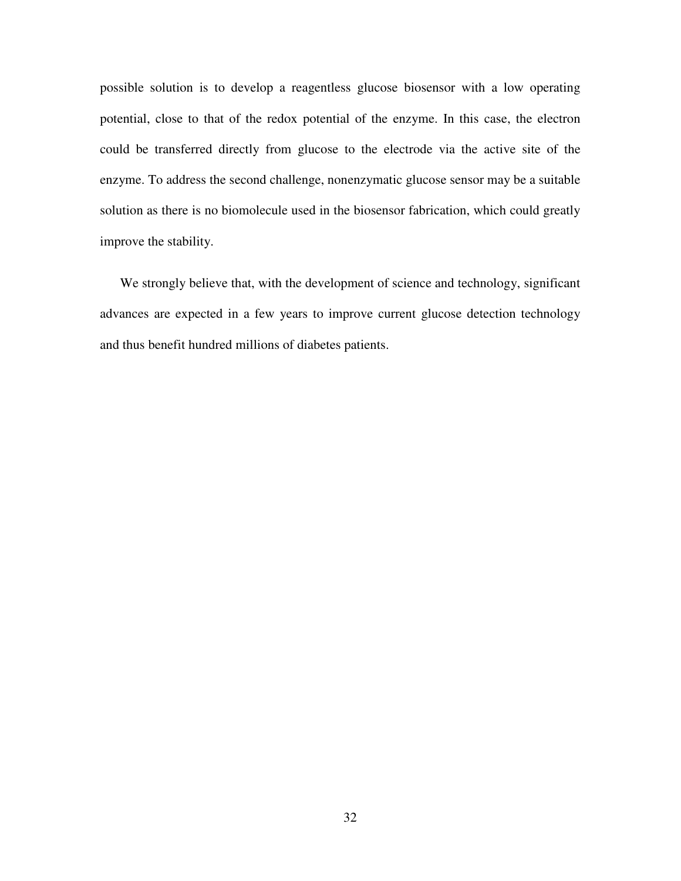possible solution is to develop a reagentless glucose biosensor with a low operating potential, close to that of the redox potential of the enzyme. In this case, the electron could be transferred directly from glucose to the electrode via the active site of the enzyme. To address the second challenge, nonenzymatic glucose sensor may be a suitable solution as there is no biomolecule used in the biosensor fabrication, which could greatly improve the stability.

We strongly believe that, with the development of science and technology, significant advances are expected in a few years to improve current glucose detection technology and thus benefit hundred millions of diabetes patients.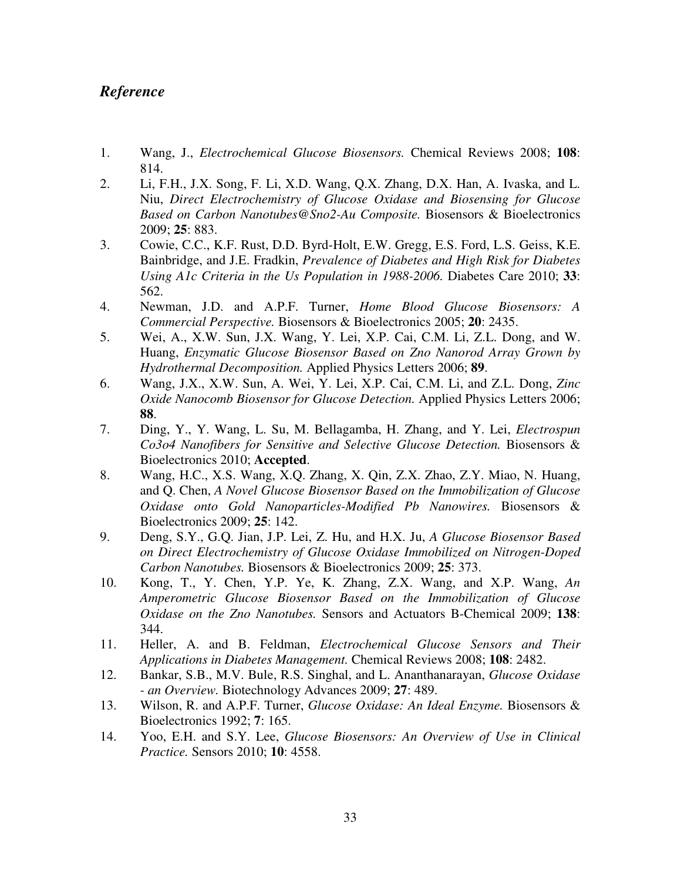# *Reference*

- 1. Wang, J., *Electrochemical Glucose Biosensors.* Chemical Reviews 2008; **108**: 814.
- 2. Li, F.H., J.X. Song, F. Li, X.D. Wang, Q.X. Zhang, D.X. Han, A. Ivaska, and L. Niu, *Direct Electrochemistry of Glucose Oxidase and Biosensing for Glucose Based on Carbon Nanotubes@Sno2-Au Composite.* Biosensors & Bioelectronics 2009; **25**: 883.
- 3. Cowie, C.C., K.F. Rust, D.D. Byrd-Holt, E.W. Gregg, E.S. Ford, L.S. Geiss, K.E. Bainbridge, and J.E. Fradkin, *Prevalence of Diabetes and High Risk for Diabetes Using A1c Criteria in the Us Population in 1988-2006.* Diabetes Care 2010; **33**: 562.
- 4. Newman, J.D. and A.P.F. Turner, *Home Blood Glucose Biosensors: A Commercial Perspective.* Biosensors & Bioelectronics 2005; **20**: 2435.
- 5. Wei, A., X.W. Sun, J.X. Wang, Y. Lei, X.P. Cai, C.M. Li, Z.L. Dong, and W. Huang, *Enzymatic Glucose Biosensor Based on Zno Nanorod Array Grown by Hydrothermal Decomposition.* Applied Physics Letters 2006; **89**.
- 6. Wang, J.X., X.W. Sun, A. Wei, Y. Lei, X.P. Cai, C.M. Li, and Z.L. Dong, *Zinc Oxide Nanocomb Biosensor for Glucose Detection.* Applied Physics Letters 2006; **88**.
- 7. Ding, Y., Y. Wang, L. Su, M. Bellagamba, H. Zhang, and Y. Lei, *Electrospun Co3o4 Nanofibers for Sensitive and Selective Glucose Detection.* Biosensors & Bioelectronics 2010; **Accepted**.
- 8. Wang, H.C., X.S. Wang, X.Q. Zhang, X. Qin, Z.X. Zhao, Z.Y. Miao, N. Huang, and Q. Chen, *A Novel Glucose Biosensor Based on the Immobilization of Glucose Oxidase onto Gold Nanoparticles-Modified Pb Nanowires.* Biosensors & Bioelectronics 2009; **25**: 142.
- 9. Deng, S.Y., G.Q. Jian, J.P. Lei, Z. Hu, and H.X. Ju, *A Glucose Biosensor Based on Direct Electrochemistry of Glucose Oxidase Immobilized on Nitrogen-Doped Carbon Nanotubes.* Biosensors & Bioelectronics 2009; **25**: 373.
- 10. Kong, T., Y. Chen, Y.P. Ye, K. Zhang, Z.X. Wang, and X.P. Wang, *An Amperometric Glucose Biosensor Based on the Immobilization of Glucose Oxidase on the Zno Nanotubes.* Sensors and Actuators B-Chemical 2009; **138**: 344.
- 11. Heller, A. and B. Feldman, *Electrochemical Glucose Sensors and Their Applications in Diabetes Management.* Chemical Reviews 2008; **108**: 2482.
- 12. Bankar, S.B., M.V. Bule, R.S. Singhal, and L. Ananthanarayan, *Glucose Oxidase - an Overview.* Biotechnology Advances 2009; **27**: 489.
- 13. Wilson, R. and A.P.F. Turner, *Glucose Oxidase: An Ideal Enzyme.* Biosensors & Bioelectronics 1992; **7**: 165.
- 14. Yoo, E.H. and S.Y. Lee, *Glucose Biosensors: An Overview of Use in Clinical Practice.* Sensors 2010; **10**: 4558.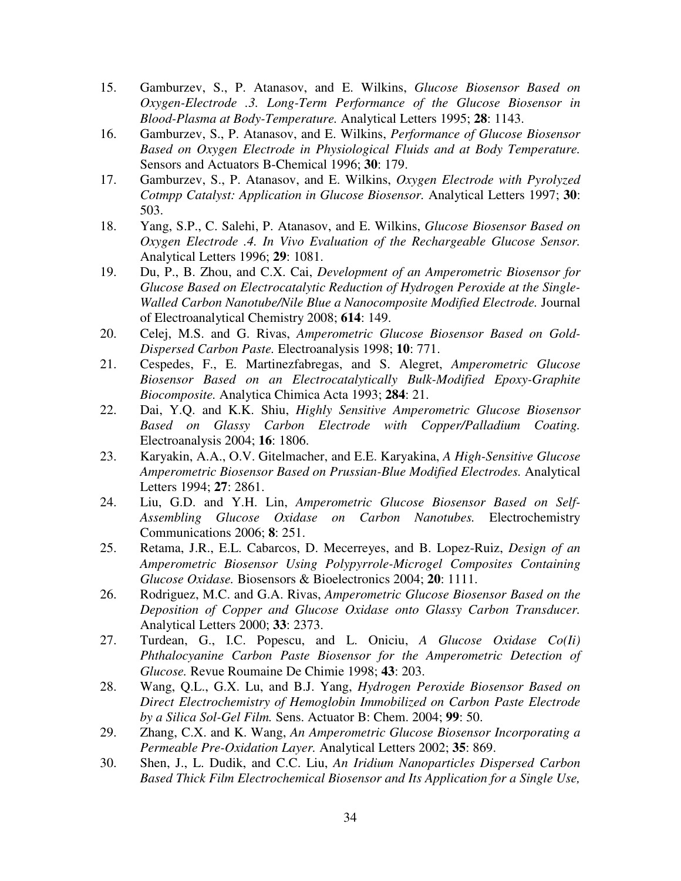- 15. Gamburzev, S., P. Atanasov, and E. Wilkins, *Glucose Biosensor Based on Oxygen-Electrode .3. Long-Term Performance of the Glucose Biosensor in Blood-Plasma at Body-Temperature.* Analytical Letters 1995; **28**: 1143.
- 16. Gamburzev, S., P. Atanasov, and E. Wilkins, *Performance of Glucose Biosensor Based on Oxygen Electrode in Physiological Fluids and at Body Temperature.* Sensors and Actuators B-Chemical 1996; **30**: 179.
- 17. Gamburzev, S., P. Atanasov, and E. Wilkins, *Oxygen Electrode with Pyrolyzed Cotmpp Catalyst: Application in Glucose Biosensor.* Analytical Letters 1997; **30**: 503.
- 18. Yang, S.P., C. Salehi, P. Atanasov, and E. Wilkins, *Glucose Biosensor Based on Oxygen Electrode .4. In Vivo Evaluation of the Rechargeable Glucose Sensor.* Analytical Letters 1996; **29**: 1081.
- 19. Du, P., B. Zhou, and C.X. Cai, *Development of an Amperometric Biosensor for Glucose Based on Electrocatalytic Reduction of Hydrogen Peroxide at the Single-Walled Carbon Nanotube/Nile Blue a Nanocomposite Modified Electrode.* Journal of Electroanalytical Chemistry 2008; **614**: 149.
- 20. Celej, M.S. and G. Rivas, *Amperometric Glucose Biosensor Based on Gold-Dispersed Carbon Paste.* Electroanalysis 1998; **10**: 771.
- 21. Cespedes, F., E. Martinezfabregas, and S. Alegret, *Amperometric Glucose Biosensor Based on an Electrocatalytically Bulk-Modified Epoxy-Graphite Biocomposite.* Analytica Chimica Acta 1993; **284**: 21.
- 22. Dai, Y.Q. and K.K. Shiu, *Highly Sensitive Amperometric Glucose Biosensor Based on Glassy Carbon Electrode with Copper/Palladium Coating.* Electroanalysis 2004; **16**: 1806.
- 23. Karyakin, A.A., O.V. Gitelmacher, and E.E. Karyakina, *A High-Sensitive Glucose Amperometric Biosensor Based on Prussian-Blue Modified Electrodes.* Analytical Letters 1994; **27**: 2861.
- 24. Liu, G.D. and Y.H. Lin, *Amperometric Glucose Biosensor Based on Self-Assembling Glucose Oxidase on Carbon Nanotubes.* Electrochemistry Communications 2006; **8**: 251.
- 25. Retama, J.R., E.L. Cabarcos, D. Mecerreyes, and B. Lopez-Ruiz, *Design of an Amperometric Biosensor Using Polypyrrole-Microgel Composites Containing Glucose Oxidase.* Biosensors & Bioelectronics 2004; **20**: 1111.
- 26. Rodriguez, M.C. and G.A. Rivas, *Amperometric Glucose Biosensor Based on the Deposition of Copper and Glucose Oxidase onto Glassy Carbon Transducer.* Analytical Letters 2000; **33**: 2373.
- 27. Turdean, G., I.C. Popescu, and L. Oniciu, *A Glucose Oxidase Co(Ii) Phthalocyanine Carbon Paste Biosensor for the Amperometric Detection of Glucose.* Revue Roumaine De Chimie 1998; **43**: 203.
- 28. Wang, Q.L., G.X. Lu, and B.J. Yang, *Hydrogen Peroxide Biosensor Based on Direct Electrochemistry of Hemoglobin Immobilized on Carbon Paste Electrode by a Silica Sol-Gel Film.* Sens. Actuator B: Chem. 2004; **99**: 50.
- 29. Zhang, C.X. and K. Wang, *An Amperometric Glucose Biosensor Incorporating a Permeable Pre-Oxidation Layer.* Analytical Letters 2002; **35**: 869.
- 30. Shen, J., L. Dudik, and C.C. Liu, *An Iridium Nanoparticles Dispersed Carbon Based Thick Film Electrochemical Biosensor and Its Application for a Single Use,*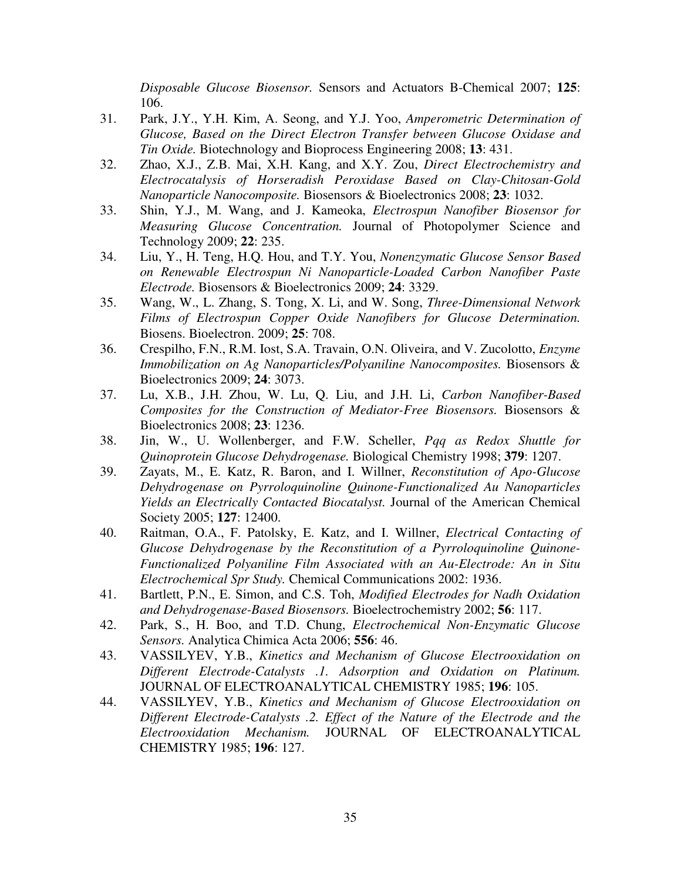*Disposable Glucose Biosensor.* Sensors and Actuators B-Chemical 2007; **125**: 106.

- 31. Park, J.Y., Y.H. Kim, A. Seong, and Y.J. Yoo, *Amperometric Determination of Glucose, Based on the Direct Electron Transfer between Glucose Oxidase and Tin Oxide.* Biotechnology and Bioprocess Engineering 2008; **13**: 431.
- 32. Zhao, X.J., Z.B. Mai, X.H. Kang, and X.Y. Zou, *Direct Electrochemistry and Electrocatalysis of Horseradish Peroxidase Based on Clay-Chitosan-Gold Nanoparticle Nanocomposite.* Biosensors & Bioelectronics 2008; **23**: 1032.
- 33. Shin, Y.J., M. Wang, and J. Kameoka, *Electrospun Nanofiber Biosensor for Measuring Glucose Concentration.* Journal of Photopolymer Science and Technology 2009; **22**: 235.
- 34. Liu, Y., H. Teng, H.Q. Hou, and T.Y. You, *Nonenzymatic Glucose Sensor Based on Renewable Electrospun Ni Nanoparticle-Loaded Carbon Nanofiber Paste Electrode.* Biosensors & Bioelectronics 2009; **24**: 3329.
- 35. Wang, W., L. Zhang, S. Tong, X. Li, and W. Song, *Three-Dimensional Network Films of Electrospun Copper Oxide Nanofibers for Glucose Determination.* Biosens. Bioelectron. 2009; **25**: 708.
- 36. Crespilho, F.N., R.M. Iost, S.A. Travain, O.N. Oliveira, and V. Zucolotto, *Enzyme Immobilization on Ag Nanoparticles/Polyaniline Nanocomposites.* Biosensors & Bioelectronics 2009; **24**: 3073.
- 37. Lu, X.B., J.H. Zhou, W. Lu, Q. Liu, and J.H. Li, *Carbon Nanofiber-Based Composites for the Construction of Mediator-Free Biosensors.* Biosensors & Bioelectronics 2008; **23**: 1236.
- 38. Jin, W., U. Wollenberger, and F.W. Scheller, *Pqq as Redox Shuttle for Quinoprotein Glucose Dehydrogenase.* Biological Chemistry 1998; **379**: 1207.
- 39. Zayats, M., E. Katz, R. Baron, and I. Willner, *Reconstitution of Apo-Glucose Dehydrogenase on Pyrroloquinoline Quinone-Functionalized Au Nanoparticles Yields an Electrically Contacted Biocatalyst.* Journal of the American Chemical Society 2005; **127**: 12400.
- 40. Raitman, O.A., F. Patolsky, E. Katz, and I. Willner, *Electrical Contacting of Glucose Dehydrogenase by the Reconstitution of a Pyrroloquinoline Quinone-Functionalized Polyaniline Film Associated with an Au-Electrode: An in Situ Electrochemical Spr Study.* Chemical Communications 2002: 1936.
- 41. Bartlett, P.N., E. Simon, and C.S. Toh, *Modified Electrodes for Nadh Oxidation and Dehydrogenase-Based Biosensors.* Bioelectrochemistry 2002; **56**: 117.
- 42. Park, S., H. Boo, and T.D. Chung, *Electrochemical Non-Enzymatic Glucose Sensors.* Analytica Chimica Acta 2006; **556**: 46.
- 43. VASSILYEV, Y.B., *Kinetics and Mechanism of Glucose Electrooxidation on Different Electrode-Catalysts .1. Adsorption and Oxidation on Platinum.* JOURNAL OF ELECTROANALYTICAL CHEMISTRY 1985; **196**: 105.
- 44. VASSILYEV, Y.B., *Kinetics and Mechanism of Glucose Electrooxidation on Different Electrode-Catalysts .2. Effect of the Nature of the Electrode and the Electrooxidation Mechanism.* JOURNAL OF ELECTROANALYTICAL CHEMISTRY 1985; **196**: 127.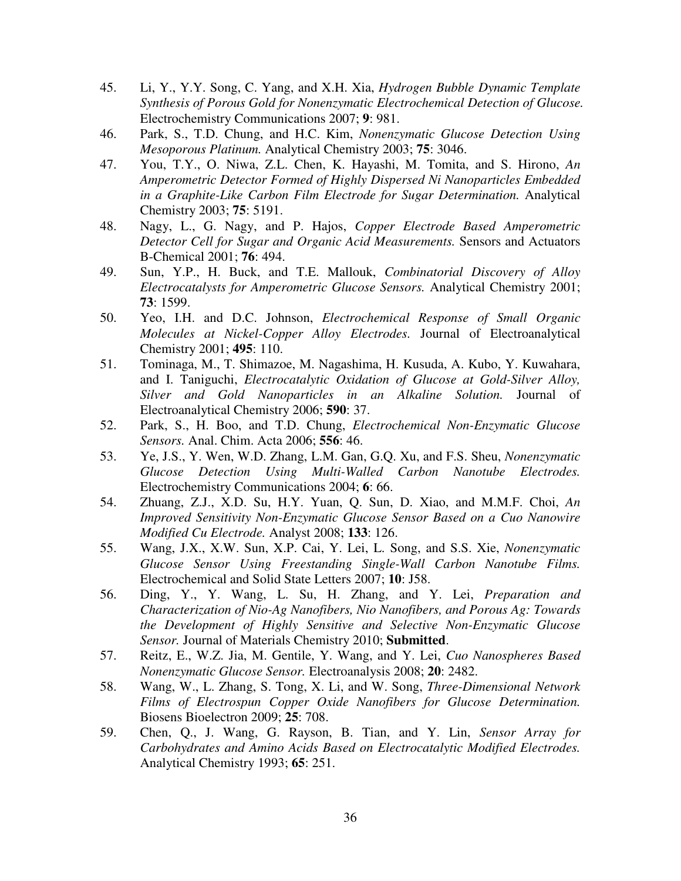- 45. Li, Y., Y.Y. Song, C. Yang, and X.H. Xia, *Hydrogen Bubble Dynamic Template Synthesis of Porous Gold for Nonenzymatic Electrochemical Detection of Glucose.* Electrochemistry Communications 2007; **9**: 981.
- 46. Park, S., T.D. Chung, and H.C. Kim, *Nonenzymatic Glucose Detection Using Mesoporous Platinum.* Analytical Chemistry 2003; **75**: 3046.
- 47. You, T.Y., O. Niwa, Z.L. Chen, K. Hayashi, M. Tomita, and S. Hirono, *An Amperometric Detector Formed of Highly Dispersed Ni Nanoparticles Embedded in a Graphite-Like Carbon Film Electrode for Sugar Determination.* Analytical Chemistry 2003; **75**: 5191.
- 48. Nagy, L., G. Nagy, and P. Hajos, *Copper Electrode Based Amperometric Detector Cell for Sugar and Organic Acid Measurements.* Sensors and Actuators B-Chemical 2001; **76**: 494.
- 49. Sun, Y.P., H. Buck, and T.E. Mallouk, *Combinatorial Discovery of Alloy Electrocatalysts for Amperometric Glucose Sensors.* Analytical Chemistry 2001; **73**: 1599.
- 50. Yeo, I.H. and D.C. Johnson, *Electrochemical Response of Small Organic Molecules at Nickel-Copper Alloy Electrodes.* Journal of Electroanalytical Chemistry 2001; **495**: 110.
- 51. Tominaga, M., T. Shimazoe, M. Nagashima, H. Kusuda, A. Kubo, Y. Kuwahara, and I. Taniguchi, *Electrocatalytic Oxidation of Glucose at Gold-Silver Alloy, Silver and Gold Nanoparticles in an Alkaline Solution.* Journal of Electroanalytical Chemistry 2006; **590**: 37.
- 52. Park, S., H. Boo, and T.D. Chung, *Electrochemical Non-Enzymatic Glucose Sensors.* Anal. Chim. Acta 2006; **556**: 46.
- 53. Ye, J.S., Y. Wen, W.D. Zhang, L.M. Gan, G.Q. Xu, and F.S. Sheu, *Nonenzymatic Glucose Detection Using Multi-Walled Carbon Nanotube Electrodes.* Electrochemistry Communications 2004; **6**: 66.
- 54. Zhuang, Z.J., X.D. Su, H.Y. Yuan, Q. Sun, D. Xiao, and M.M.F. Choi, *An Improved Sensitivity Non-Enzymatic Glucose Sensor Based on a Cuo Nanowire Modified Cu Electrode.* Analyst 2008; **133**: 126.
- 55. Wang, J.X., X.W. Sun, X.P. Cai, Y. Lei, L. Song, and S.S. Xie, *Nonenzymatic Glucose Sensor Using Freestanding Single-Wall Carbon Nanotube Films.* Electrochemical and Solid State Letters 2007; **10**: J58.
- 56. Ding, Y., Y. Wang, L. Su, H. Zhang, and Y. Lei, *Preparation and Characterization of Nio-Ag Nanofibers, Nio Nanofibers, and Porous Ag: Towards the Development of Highly Sensitive and Selective Non-Enzymatic Glucose Sensor.* Journal of Materials Chemistry 2010; **Submitted**.
- 57. Reitz, E., W.Z. Jia, M. Gentile, Y. Wang, and Y. Lei, *Cuo Nanospheres Based Nonenzymatic Glucose Sensor.* Electroanalysis 2008; **20**: 2482.
- 58. Wang, W., L. Zhang, S. Tong, X. Li, and W. Song, *Three-Dimensional Network Films of Electrospun Copper Oxide Nanofibers for Glucose Determination.* Biosens Bioelectron 2009; **25**: 708.
- 59. Chen, Q., J. Wang, G. Rayson, B. Tian, and Y. Lin, *Sensor Array for Carbohydrates and Amino Acids Based on Electrocatalytic Modified Electrodes.* Analytical Chemistry 1993; **65**: 251.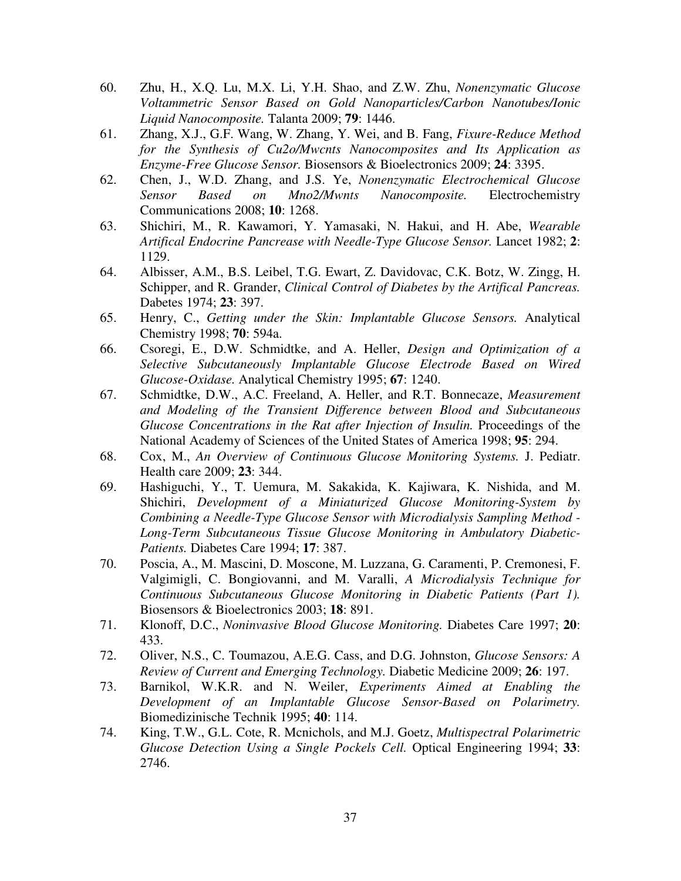- 60. Zhu, H., X.Q. Lu, M.X. Li, Y.H. Shao, and Z.W. Zhu, *Nonenzymatic Glucose Voltammetric Sensor Based on Gold Nanoparticles/Carbon Nanotubes/Ionic Liquid Nanocomposite.* Talanta 2009; **79**: 1446.
- 61. Zhang, X.J., G.F. Wang, W. Zhang, Y. Wei, and B. Fang, *Fixure-Reduce Method for the Synthesis of Cu2o/Mwcnts Nanocomposites and Its Application as Enzyme-Free Glucose Sensor.* Biosensors & Bioelectronics 2009; **24**: 3395.
- 62. Chen, J., W.D. Zhang, and J.S. Ye, *Nonenzymatic Electrochemical Glucose Sensor Based on Mno2/Mwnts Nanocomposite.* Electrochemistry Communications 2008; **10**: 1268.
- 63. Shichiri, M., R. Kawamori, Y. Yamasaki, N. Hakui, and H. Abe, *Wearable Artifical Endocrine Pancrease with Needle-Type Glucose Sensor.* Lancet 1982; **2**: 1129.
- 64. Albisser, A.M., B.S. Leibel, T.G. Ewart, Z. Davidovac, C.K. Botz, W. Zingg, H. Schipper, and R. Grander, *Clinical Control of Diabetes by the Artifical Pancreas.* Dabetes 1974; **23**: 397.
- 65. Henry, C., *Getting under the Skin: Implantable Glucose Sensors.* Analytical Chemistry 1998; **70**: 594a.
- 66. Csoregi, E., D.W. Schmidtke, and A. Heller, *Design and Optimization of a Selective Subcutaneously Implantable Glucose Electrode Based on Wired Glucose-Oxidase.* Analytical Chemistry 1995; **67**: 1240.
- 67. Schmidtke, D.W., A.C. Freeland, A. Heller, and R.T. Bonnecaze, *Measurement and Modeling of the Transient Difference between Blood and Subcutaneous Glucose Concentrations in the Rat after Injection of Insulin.* Proceedings of the National Academy of Sciences of the United States of America 1998; **95**: 294.
- 68. Cox, M., *An Overview of Continuous Glucose Monitoring Systems.* J. Pediatr. Health care 2009; **23**: 344.
- 69. Hashiguchi, Y., T. Uemura, M. Sakakida, K. Kajiwara, K. Nishida, and M. Shichiri, *Development of a Miniaturized Glucose Monitoring-System by Combining a Needle-Type Glucose Sensor with Microdialysis Sampling Method - Long-Term Subcutaneous Tissue Glucose Monitoring in Ambulatory Diabetic-Patients.* Diabetes Care 1994; **17**: 387.
- 70. Poscia, A., M. Mascini, D. Moscone, M. Luzzana, G. Caramenti, P. Cremonesi, F. Valgimigli, C. Bongiovanni, and M. Varalli, *A Microdialysis Technique for Continuous Subcutaneous Glucose Monitoring in Diabetic Patients (Part 1).* Biosensors & Bioelectronics 2003; **18**: 891.
- 71. Klonoff, D.C., *Noninvasive Blood Glucose Monitoring.* Diabetes Care 1997; **20**: 433.
- 72. Oliver, N.S., C. Toumazou, A.E.G. Cass, and D.G. Johnston, *Glucose Sensors: A Review of Current and Emerging Technology.* Diabetic Medicine 2009; **26**: 197.
- 73. Barnikol, W.K.R. and N. Weiler, *Experiments Aimed at Enabling the Development of an Implantable Glucose Sensor-Based on Polarimetry.* Biomedizinische Technik 1995; **40**: 114.
- 74. King, T.W., G.L. Cote, R. Mcnichols, and M.J. Goetz, *Multispectral Polarimetric Glucose Detection Using a Single Pockels Cell.* Optical Engineering 1994; **33**: 2746.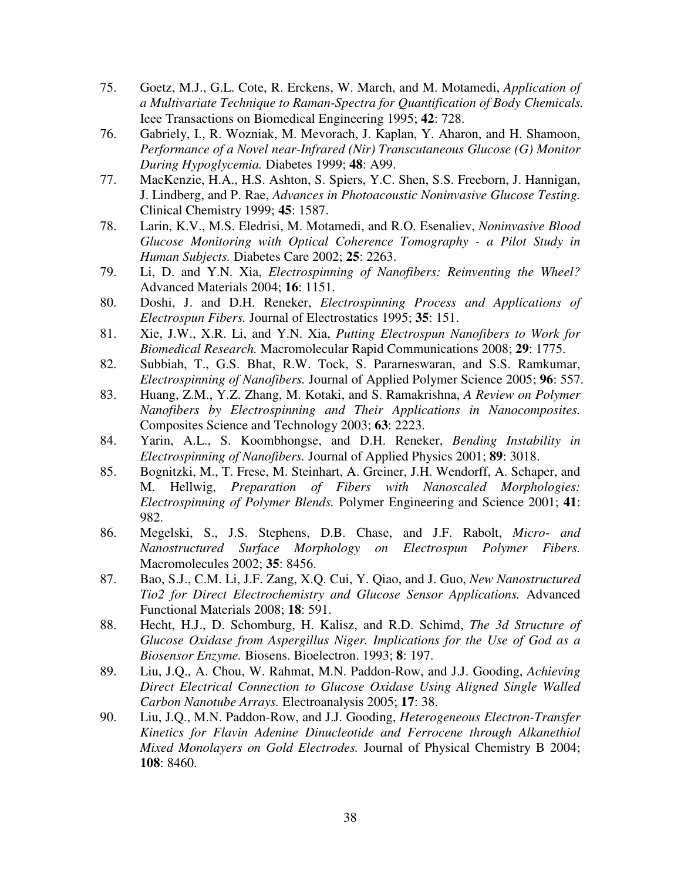- 75. Goetz, M.J., G.L. Cote, R. Erckens, W. March, and M. Motamedi, *Application of a Multivariate Technique to Raman-Spectra for Quantification of Body Chemicals.* Ieee Transactions on Biomedical Engineering 1995; **42**: 728.
- 76. Gabriely, I., R. Wozniak, M. Mevorach, J. Kaplan, Y. Aharon, and H. Shamoon, *Performance of a Novel near-Infrared (Nir) Transcutaneous Glucose (G) Monitor During Hypoglycemia.* Diabetes 1999; **48**: A99.
- 77. MacKenzie, H.A., H.S. Ashton, S. Spiers, Y.C. Shen, S.S. Freeborn, J. Hannigan, J. Lindberg, and P. Rae, *Advances in Photoacoustic Noninvasive Glucose Testing.* Clinical Chemistry 1999; **45**: 1587.
- 78. Larin, K.V., M.S. Eledrisi, M. Motamedi, and R.O. Esenaliev, *Noninvasive Blood Glucose Monitoring with Optical Coherence Tomography - a Pilot Study in Human Subjects.* Diabetes Care 2002; **25**: 2263.
- 79. Li, D. and Y.N. Xia, *Electrospinning of Nanofibers: Reinventing the Wheel?* Advanced Materials 2004; **16**: 1151.
- 80. Doshi, J. and D.H. Reneker, *Electrospinning Process and Applications of Electrospun Fibers.* Journal of Electrostatics 1995; **35**: 151.
- 81. Xie, J.W., X.R. Li, and Y.N. Xia, *Putting Electrospun Nanofibers to Work for Biomedical Research.* Macromolecular Rapid Communications 2008; **29**: 1775.
- 82. Subbiah, T., G.S. Bhat, R.W. Tock, S. Pararneswaran, and S.S. Ramkumar, *Electrospinning of Nanofibers.* Journal of Applied Polymer Science 2005; **96**: 557.
- 83. Huang, Z.M., Y.Z. Zhang, M. Kotaki, and S. Ramakrishna, *A Review on Polymer Nanofibers by Electrospinning and Their Applications in Nanocomposites.* Composites Science and Technology 2003; **63**: 2223.
- 84. Yarin, A.L., S. Koombhongse, and D.H. Reneker, *Bending Instability in Electrospinning of Nanofibers.* Journal of Applied Physics 2001; **89**: 3018.
- 85. Bognitzki, M., T. Frese, M. Steinhart, A. Greiner, J.H. Wendorff, A. Schaper, and M. Hellwig, *Preparation of Fibers with Nanoscaled Morphologies: Electrospinning of Polymer Blends.* Polymer Engineering and Science 2001; **41**: 982.
- 86. Megelski, S., J.S. Stephens, D.B. Chase, and J.F. Rabolt, *Micro- and Nanostructured Surface Morphology on Electrospun Polymer Fibers.* Macromolecules 2002; **35**: 8456.
- 87. Bao, S.J., C.M. Li, J.F. Zang, X.Q. Cui, Y. Qiao, and J. Guo, *New Nanostructured Tio2 for Direct Electrochemistry and Glucose Sensor Applications.* Advanced Functional Materials 2008; **18**: 591.
- 88. Hecht, H.J., D. Schomburg, H. Kalisz, and R.D. Schimd, *The 3d Structure of Glucose Oxidase from Aspergillus Niger. Implications for the Use of God as a Biosensor Enzyme.* Biosens. Bioelectron. 1993; **8**: 197.
- 89. Liu, J.Q., A. Chou, W. Rahmat, M.N. Paddon-Row, and J.J. Gooding, *Achieving Direct Electrical Connection to Glucose Oxidase Using Aligned Single Walled Carbon Nanotube Arrays.* Electroanalysis 2005; **17**: 38.
- 90. Liu, J.Q., M.N. Paddon-Row, and J.J. Gooding, *Heterogeneous Electron-Transfer Kinetics for Flavin Adenine Dinucleotide and Ferrocene through Alkanethiol Mixed Monolayers on Gold Electrodes.* Journal of Physical Chemistry B 2004; **108**: 8460.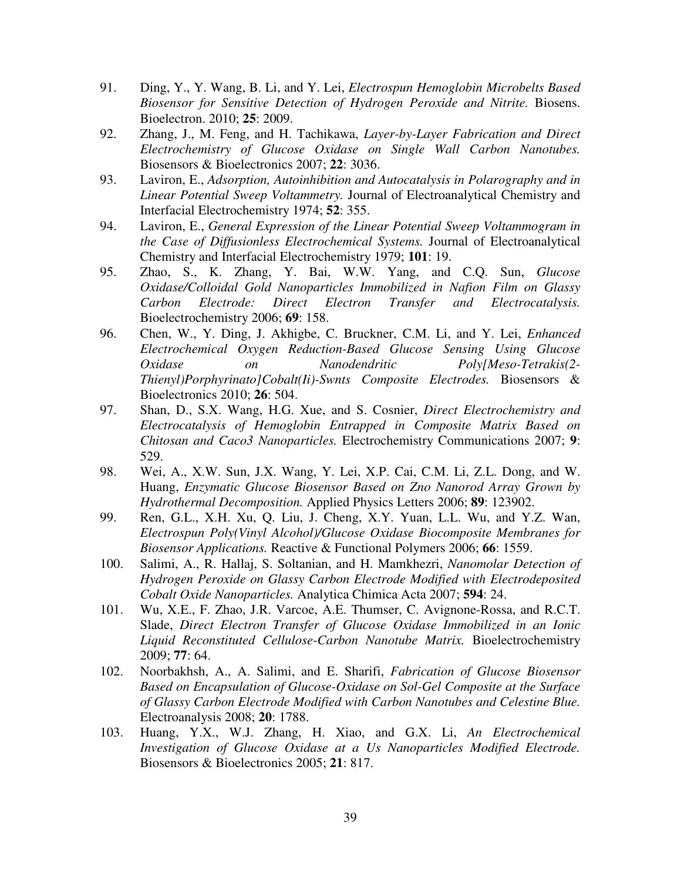- 91. Ding, Y., Y. Wang, B. Li, and Y. Lei, *Electrospun Hemoglobin Microbelts Based Biosensor for Sensitive Detection of Hydrogen Peroxide and Nitrite.* Biosens. Bioelectron. 2010; **25**: 2009.
- 92. Zhang, J., M. Feng, and H. Tachikawa, *Layer-by-Layer Fabrication and Direct Electrochemistry of Glucose Oxidase on Single Wall Carbon Nanotubes.* Biosensors & Bioelectronics 2007; **22**: 3036.
- 93. Laviron, E., *Adsorption, Autoinhibition and Autocatalysis in Polarography and in Linear Potential Sweep Voltammetry.* Journal of Electroanalytical Chemistry and Interfacial Electrochemistry 1974; **52**: 355.
- 94. Laviron, E., *General Expression of the Linear Potential Sweep Voltammogram in the Case of Diffusionless Electrochemical Systems.* Journal of Electroanalytical Chemistry and Interfacial Electrochemistry 1979; **101**: 19.
- 95. Zhao, S., K. Zhang, Y. Bai, W.W. Yang, and C.Q. Sun, *Glucose Oxidase/Colloidal Gold Nanoparticles Immobilized in Nafion Film on Glassy Carbon Electrode: Direct Electron Transfer and Electrocatalysis.* Bioelectrochemistry 2006; **69**: 158.
- 96. Chen, W., Y. Ding, J. Akhigbe, C. Bruckner, C.M. Li, and Y. Lei, *Enhanced Electrochemical Oxygen Reduction-Based Glucose Sensing Using Glucose Oxidase on Nanodendritic Poly[Meso-Tetrakis(2- Thienyl)Porphyrinato]Cobalt(Ii)-Swnts Composite Electrodes.* Biosensors & Bioelectronics 2010; **26**: 504.
- 97. Shan, D., S.X. Wang, H.G. Xue, and S. Cosnier, *Direct Electrochemistry and Electrocatalysis of Hemoglobin Entrapped in Composite Matrix Based on Chitosan and Caco3 Nanoparticles.* Electrochemistry Communications 2007; **9**: 529.
- 98. Wei, A., X.W. Sun, J.X. Wang, Y. Lei, X.P. Cai, C.M. Li, Z.L. Dong, and W. Huang, *Enzymatic Glucose Biosensor Based on Zno Nanorod Array Grown by Hydrothermal Decomposition.* Applied Physics Letters 2006; **89**: 123902.
- 99. Ren, G.L., X.H. Xu, Q. Liu, J. Cheng, X.Y. Yuan, L.L. Wu, and Y.Z. Wan, *Electrospun Poly(Vinyl Alcohol)/Glucose Oxidase Biocomposite Membranes for Biosensor Applications.* Reactive & Functional Polymers 2006; **66**: 1559.
- 100. Salimi, A., R. Hallaj, S. Soltanian, and H. Mamkhezri, *Nanomolar Detection of Hydrogen Peroxide on Glassy Carbon Electrode Modified with Electrodeposited Cobalt Oxide Nanoparticles.* Analytica Chimica Acta 2007; **594**: 24.
- 101. Wu, X.E., F. Zhao, J.R. Varcoe, A.E. Thumser, C. Avignone-Rossa, and R.C.T. Slade, *Direct Electron Transfer of Glucose Oxidase Immobilized in an Ionic Liquid Reconstituted Cellulose-Carbon Nanotube Matrix.* Bioelectrochemistry 2009; **77**: 64.
- 102. Noorbakhsh, A., A. Salimi, and E. Sharifi, *Fabrication of Glucose Biosensor Based on Encapsulation of Glucose-Oxidase on Sol-Gel Composite at the Surface of Glassy Carbon Electrode Modified with Carbon Nanotubes and Celestine Blue.* Electroanalysis 2008; **20**: 1788.
- 103. Huang, Y.X., W.J. Zhang, H. Xiao, and G.X. Li, *An Electrochemical Investigation of Glucose Oxidase at a Us Nanoparticles Modified Electrode.* Biosensors & Bioelectronics 2005; **21**: 817.